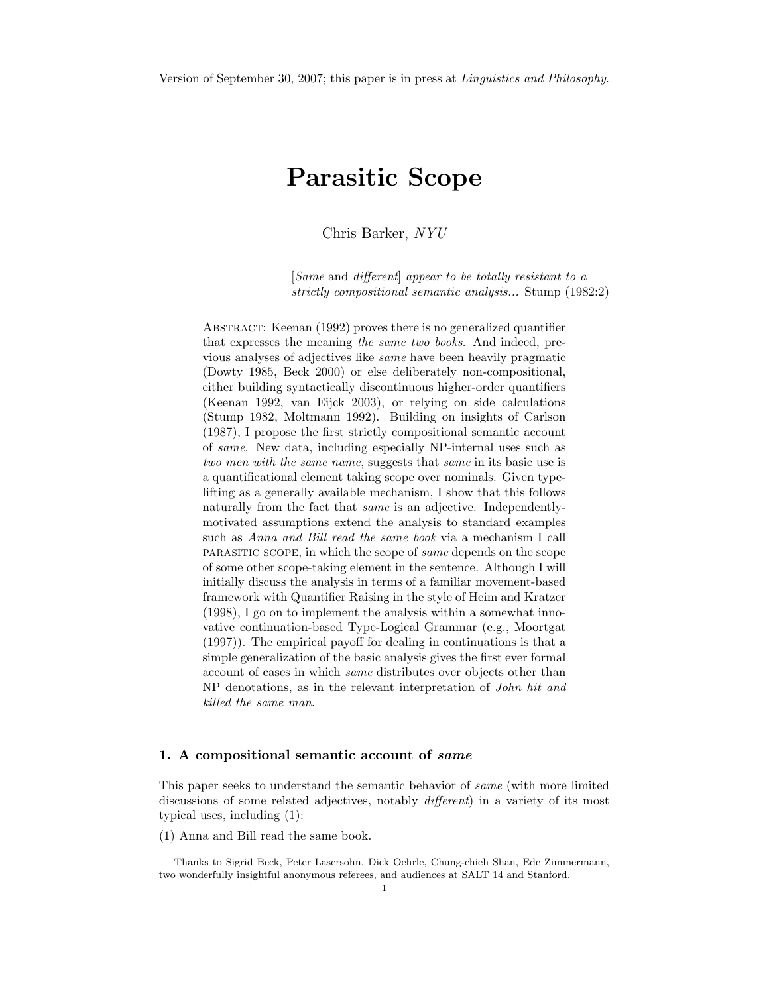# Parasitic Scope

Chris Barker, NYU

[Same and different] appear to be totally resistant to a strictly compositional semantic analysis... Stump (1982:2)

Abstract: Keenan (1992) proves there is no generalized quantifier that expresses the meaning the same two books. And indeed, previous analyses of adjectives like same have been heavily pragmatic (Dowty 1985, Beck 2000) or else deliberately non-compositional, either building syntactically discontinuous higher-order quantifiers (Keenan 1992, van Eijck 2003), or relying on side calculations (Stump 1982, Moltmann 1992). Building on insights of Carlson (1987), I propose the first strictly compositional semantic account of same. New data, including especially NP-internal uses such as two men with the same name, suggests that same in its basic use is a quantificational element taking scope over nominals. Given typelifting as a generally available mechanism, I show that this follows naturally from the fact that *same* is an adjective. Independentlymotivated assumptions extend the analysis to standard examples such as Anna and Bill read the same book via a mechanism I call parasitic scope, in which the scope of same depends on the scope of some other scope-taking element in the sentence. Although I will initially discuss the analysis in terms of a familiar movement-based framework with Quantifier Raising in the style of Heim and Kratzer (1998), I go on to implement the analysis within a somewhat innovative continuation-based Type-Logical Grammar (e.g., Moortgat (1997)). The empirical payoff for dealing in continuations is that a simple generalization of the basic analysis gives the first ever formal account of cases in which same distributes over objects other than NP denotations, as in the relevant interpretation of John hit and killed the same man.

# 1. A compositional semantic account of same

This paper seeks to understand the semantic behavior of same (with more limited discussions of some related adjectives, notably *different*) in a variety of its most typical uses, including (1):

(1) Anna and Bill read the same book.

Thanks to Sigrid Beck, Peter Lasersohn, Dick Oehrle, Chung-chieh Shan, Ede Zimmermann, two wonderfully insightful anonymous referees, and audiences at SALT 14 and Stanford.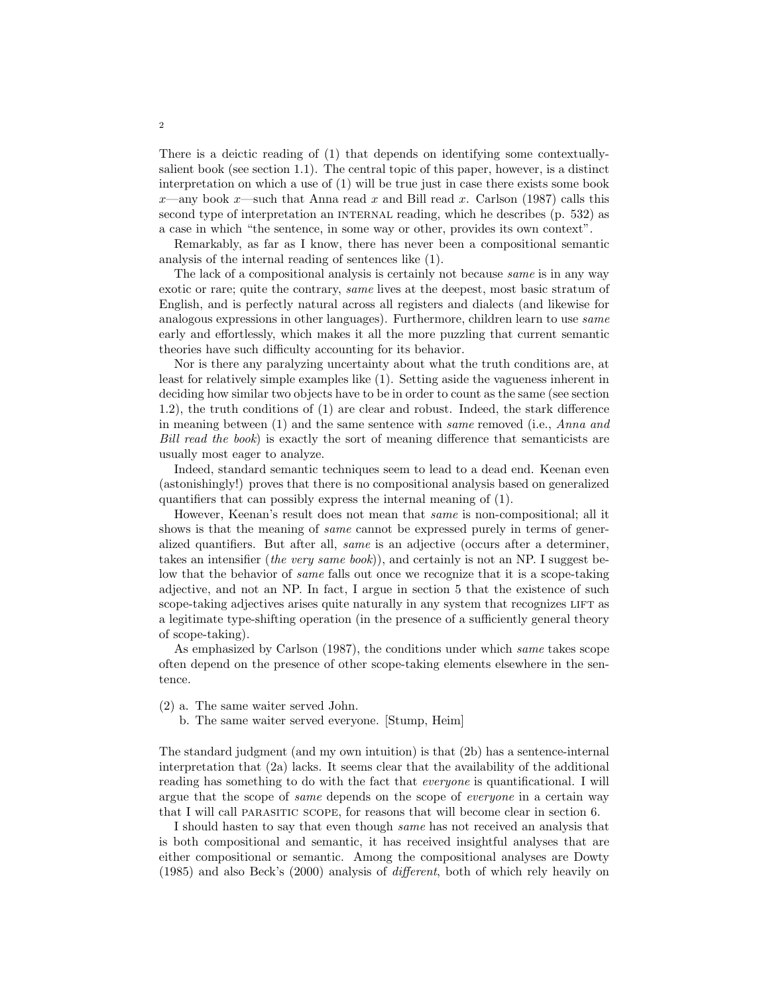There is a deictic reading of (1) that depends on identifying some contextuallysalient book (see section 1.1). The central topic of this paper, however, is a distinct interpretation on which a use of (1) will be true just in case there exists some book x—any book x—such that Anna read x and Bill read x. Carlson (1987) calls this second type of interpretation an INTERNAL reading, which he describes (p. 532) as a case in which "the sentence, in some way or other, provides its own context".

Remarkably, as far as I know, there has never been a compositional semantic analysis of the internal reading of sentences like (1).

The lack of a compositional analysis is certainly not because *same* is in any way exotic or rare; quite the contrary, same lives at the deepest, most basic stratum of English, and is perfectly natural across all registers and dialects (and likewise for analogous expressions in other languages). Furthermore, children learn to use same early and effortlessly, which makes it all the more puzzling that current semantic theories have such difficulty accounting for its behavior.

Nor is there any paralyzing uncertainty about what the truth conditions are, at least for relatively simple examples like (1). Setting aside the vagueness inherent in deciding how similar two objects have to be in order to count as the same (see section 1.2), the truth conditions of (1) are clear and robust. Indeed, the stark difference in meaning between (1) and the same sentence with same removed (i.e., Anna and Bill read the book) is exactly the sort of meaning difference that semanticists are usually most eager to analyze.

Indeed, standard semantic techniques seem to lead to a dead end. Keenan even (astonishingly!) proves that there is no compositional analysis based on generalized quantifiers that can possibly express the internal meaning of (1).

However, Keenan's result does not mean that same is non-compositional; all it shows is that the meaning of *same* cannot be expressed purely in terms of generalized quantifiers. But after all, same is an adjective (occurs after a determiner, takes an intensifier (the very same book)), and certainly is not an NP. I suggest below that the behavior of *same* falls out once we recognize that it is a scope-taking adjective, and not an NP. In fact, I argue in section 5 that the existence of such scope-taking adjectives arises quite naturally in any system that recognizes LIFT as a legitimate type-shifting operation (in the presence of a sufficiently general theory of scope-taking).

As emphasized by Carlson (1987), the conditions under which same takes scope often depend on the presence of other scope-taking elements elsewhere in the sentence.

(2) a. The same waiter served John.

b. The same waiter served everyone. [Stump, Heim]

The standard judgment (and my own intuition) is that (2b) has a sentence-internal interpretation that (2a) lacks. It seems clear that the availability of the additional reading has something to do with the fact that everyone is quantificational. I will argue that the scope of same depends on the scope of everyone in a certain way that I will call parasitic scope, for reasons that will become clear in section 6.

I should hasten to say that even though same has not received an analysis that is both compositional and semantic, it has received insightful analyses that are either compositional or semantic. Among the compositional analyses are Dowty (1985) and also Beck's (2000) analysis of different, both of which rely heavily on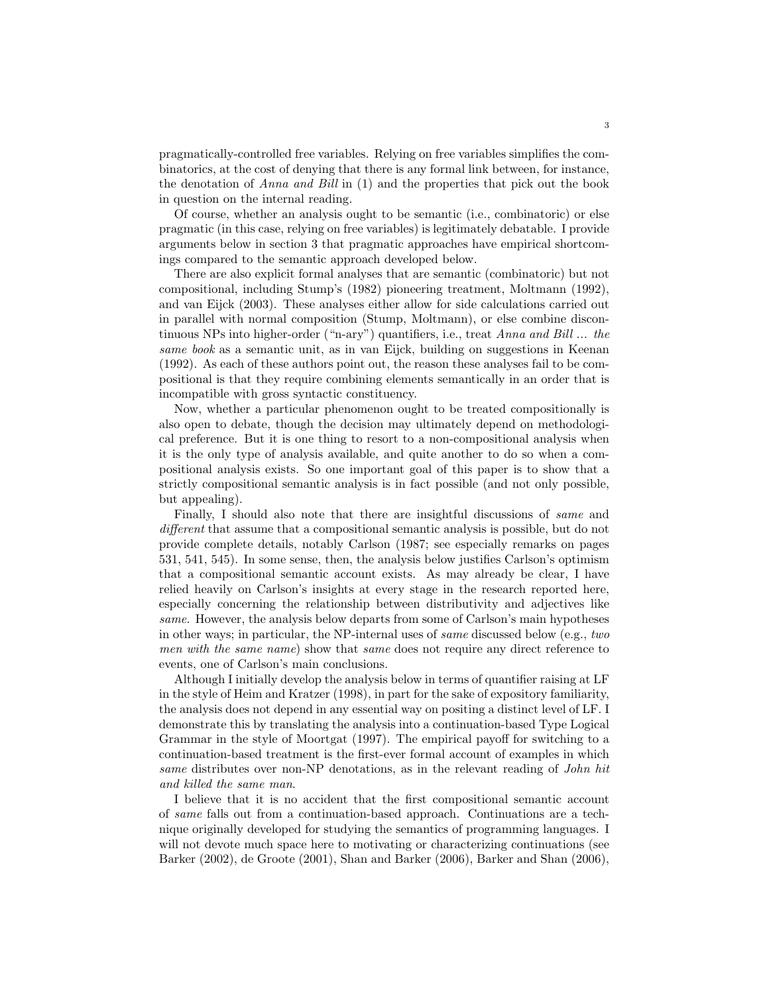pragmatically-controlled free variables. Relying on free variables simplifies the combinatorics, at the cost of denying that there is any formal link between, for instance, the denotation of Anna and Bill in (1) and the properties that pick out the book in question on the internal reading.

Of course, whether an analysis ought to be semantic (i.e., combinatoric) or else pragmatic (in this case, relying on free variables) is legitimately debatable. I provide arguments below in section 3 that pragmatic approaches have empirical shortcomings compared to the semantic approach developed below.

There are also explicit formal analyses that are semantic (combinatoric) but not compositional, including Stump's (1982) pioneering treatment, Moltmann (1992), and van Eijck (2003). These analyses either allow for side calculations carried out in parallel with normal composition (Stump, Moltmann), or else combine discontinuous NPs into higher-order ("n-ary") quantifiers, i.e., treat Anna and Bill ... the same book as a semantic unit, as in van Eijck, building on suggestions in Keenan (1992). As each of these authors point out, the reason these analyses fail to be compositional is that they require combining elements semantically in an order that is incompatible with gross syntactic constituency.

Now, whether a particular phenomenon ought to be treated compositionally is also open to debate, though the decision may ultimately depend on methodological preference. But it is one thing to resort to a non-compositional analysis when it is the only type of analysis available, and quite another to do so when a compositional analysis exists. So one important goal of this paper is to show that a strictly compositional semantic analysis is in fact possible (and not only possible, but appealing).

Finally, I should also note that there are insightful discussions of same and different that assume that a compositional semantic analysis is possible, but do not provide complete details, notably Carlson (1987; see especially remarks on pages 531, 541, 545). In some sense, then, the analysis below justifies Carlson's optimism that a compositional semantic account exists. As may already be clear, I have relied heavily on Carlson's insights at every stage in the research reported here, especially concerning the relationship between distributivity and adjectives like same. However, the analysis below departs from some of Carlson's main hypotheses in other ways; in particular, the NP-internal uses of same discussed below (e.g., two men with the same name) show that same does not require any direct reference to events, one of Carlson's main conclusions.

Although I initially develop the analysis below in terms of quantifier raising at LF in the style of Heim and Kratzer (1998), in part for the sake of expository familiarity, the analysis does not depend in any essential way on positing a distinct level of LF. I demonstrate this by translating the analysis into a continuation-based Type Logical Grammar in the style of Moortgat (1997). The empirical payoff for switching to a continuation-based treatment is the first-ever formal account of examples in which same distributes over non-NP denotations, as in the relevant reading of *John hit* and killed the same man.

I believe that it is no accident that the first compositional semantic account of same falls out from a continuation-based approach. Continuations are a technique originally developed for studying the semantics of programming languages. I will not devote much space here to motivating or characterizing continuations (see Barker (2002), de Groote (2001), Shan and Barker (2006), Barker and Shan (2006),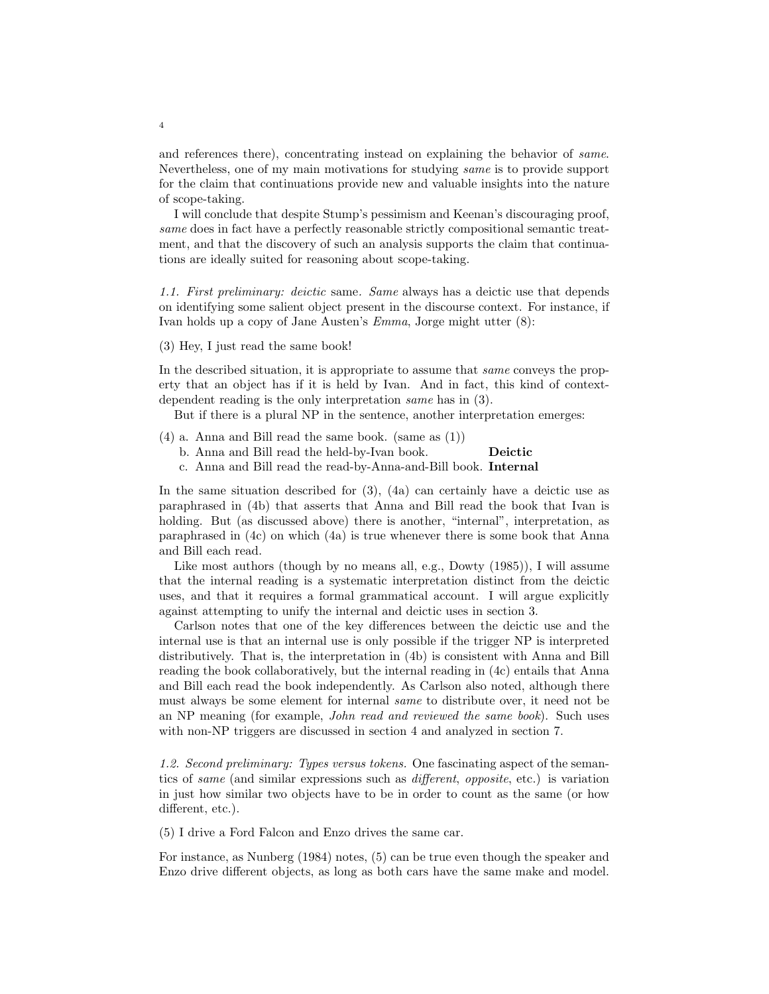and references there), concentrating instead on explaining the behavior of same. Nevertheless, one of my main motivations for studying same is to provide support for the claim that continuations provide new and valuable insights into the nature of scope-taking.

I will conclude that despite Stump's pessimism and Keenan's discouraging proof, same does in fact have a perfectly reasonable strictly compositional semantic treatment, and that the discovery of such an analysis supports the claim that continuations are ideally suited for reasoning about scope-taking.

1.1. First preliminary: deictic same. Same always has a deictic use that depends on identifying some salient object present in the discourse context. For instance, if Ivan holds up a copy of Jane Austen's Emma, Jorge might utter (8):

#### (3) Hey, I just read the same book!

In the described situation, it is appropriate to assume that same conveys the property that an object has if it is held by Ivan. And in fact, this kind of contextdependent reading is the only interpretation same has in (3).

But if there is a plural NP in the sentence, another interpretation emerges:

- $(4)$  a. Anna and Bill read the same book. (same as  $(1)$ )
	- b. Anna and Bill read the held-by-Ivan book. Deictic
	- c. Anna and Bill read the read-by-Anna-and-Bill book. Internal

In the same situation described for  $(3)$ ,  $(4a)$  can certainly have a deictic use as paraphrased in (4b) that asserts that Anna and Bill read the book that Ivan is holding. But (as discussed above) there is another, "internal", interpretation, as paraphrased in (4c) on which (4a) is true whenever there is some book that Anna and Bill each read.

Like most authors (though by no means all, e.g., Dowty (1985)), I will assume that the internal reading is a systematic interpretation distinct from the deictic uses, and that it requires a formal grammatical account. I will argue explicitly against attempting to unify the internal and deictic uses in section 3.

Carlson notes that one of the key differences between the deictic use and the internal use is that an internal use is only possible if the trigger NP is interpreted distributively. That is, the interpretation in (4b) is consistent with Anna and Bill reading the book collaboratively, but the internal reading in (4c) entails that Anna and Bill each read the book independently. As Carlson also noted, although there must always be some element for internal same to distribute over, it need not be an NP meaning (for example, John read and reviewed the same book). Such uses with non-NP triggers are discussed in section 4 and analyzed in section 7.

1.2. Second preliminary: Types versus tokens. One fascinating aspect of the semantics of same (and similar expressions such as different, opposite, etc.) is variation in just how similar two objects have to be in order to count as the same (or how different, etc.).

(5) I drive a Ford Falcon and Enzo drives the same car.

For instance, as Nunberg (1984) notes, (5) can be true even though the speaker and Enzo drive different objects, as long as both cars have the same make and model.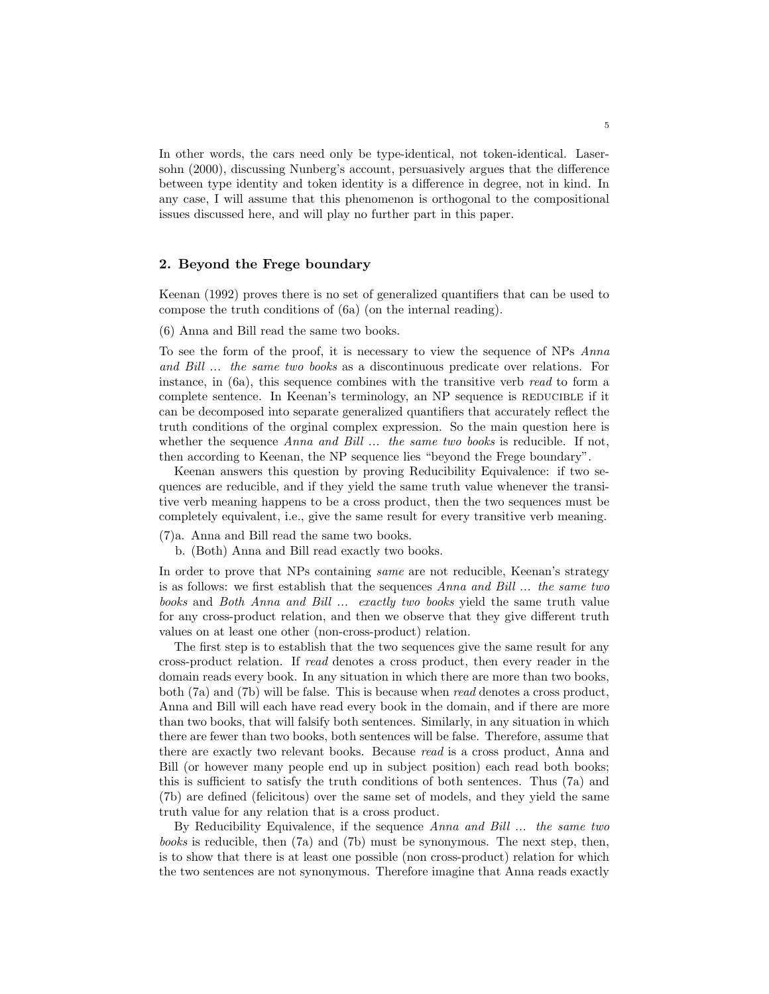In other words, the cars need only be type-identical, not token-identical. Lasersohn (2000), discussing Nunberg's account, persuasively argues that the difference between type identity and token identity is a difference in degree, not in kind. In any case, I will assume that this phenomenon is orthogonal to the compositional issues discussed here, and will play no further part in this paper.

### 2. Beyond the Frege boundary

Keenan (1992) proves there is no set of generalized quantifiers that can be used to compose the truth conditions of (6a) (on the internal reading).

(6) Anna and Bill read the same two books.

To see the form of the proof, it is necessary to view the sequence of NPs Anna and Bill ... the same two books as a discontinuous predicate over relations. For instance, in  $(6a)$ , this sequence combines with the transitive verb read to form a complete sentence. In Keenan's terminology, an NP sequence is REDUCIBLE if it can be decomposed into separate generalized quantifiers that accurately reflect the truth conditions of the orginal complex expression. So the main question here is whether the sequence Anna and Bill ... the same two books is reducible. If not, then according to Keenan, the NP sequence lies "beyond the Frege boundary".

Keenan answers this question by proving Reducibility Equivalence: if two sequences are reducible, and if they yield the same truth value whenever the transitive verb meaning happens to be a cross product, then the two sequences must be completely equivalent, i.e., give the same result for every transitive verb meaning.

(7)a. Anna and Bill read the same two books.

b. (Both) Anna and Bill read exactly two books.

In order to prove that NPs containing same are not reducible, Keenan's strategy is as follows: we first establish that the sequences Anna and Bill ... the same two books and Both Anna and Bill ... exactly two books yield the same truth value for any cross-product relation, and then we observe that they give different truth values on at least one other (non-cross-product) relation.

The first step is to establish that the two sequences give the same result for any cross-product relation. If read denotes a cross product, then every reader in the domain reads every book. In any situation in which there are more than two books, both (7a) and (7b) will be false. This is because when read denotes a cross product, Anna and Bill will each have read every book in the domain, and if there are more than two books, that will falsify both sentences. Similarly, in any situation in which there are fewer than two books, both sentences will be false. Therefore, assume that there are exactly two relevant books. Because read is a cross product, Anna and Bill (or however many people end up in subject position) each read both books; this is sufficient to satisfy the truth conditions of both sentences. Thus (7a) and (7b) are defined (felicitous) over the same set of models, and they yield the same truth value for any relation that is a cross product.

By Reducibility Equivalence, if the sequence Anna and Bill ... the same two books is reducible, then (7a) and (7b) must be synonymous. The next step, then, is to show that there is at least one possible (non cross-product) relation for which the two sentences are not synonymous. Therefore imagine that Anna reads exactly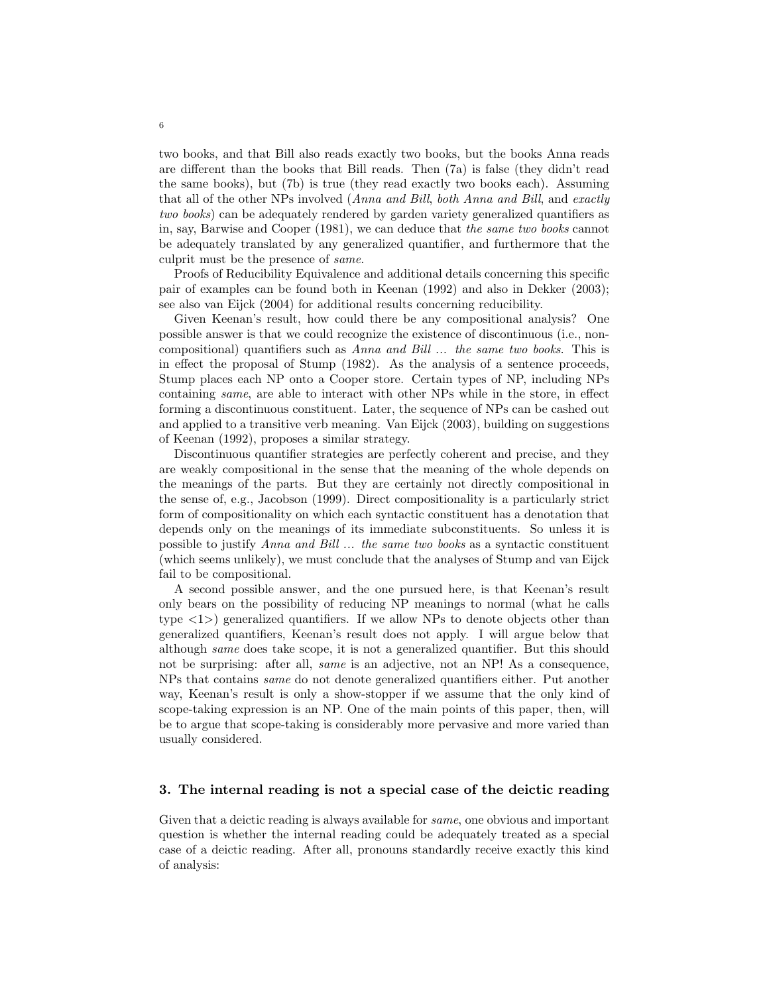two books, and that Bill also reads exactly two books, but the books Anna reads are different than the books that Bill reads. Then (7a) is false (they didn't read the same books), but (7b) is true (they read exactly two books each). Assuming that all of the other NPs involved (Anna and Bill, both Anna and Bill, and exactly two books) can be adequately rendered by garden variety generalized quantifiers as in, say, Barwise and Cooper (1981), we can deduce that the same two books cannot be adequately translated by any generalized quantifier, and furthermore that the culprit must be the presence of same.

Proofs of Reducibility Equivalence and additional details concerning this specific pair of examples can be found both in Keenan (1992) and also in Dekker (2003); see also van Eijck (2004) for additional results concerning reducibility.

Given Keenan's result, how could there be any compositional analysis? One possible answer is that we could recognize the existence of discontinuous (i.e., noncompositional) quantifiers such as Anna and Bill ... the same two books. This is in effect the proposal of Stump (1982). As the analysis of a sentence proceeds, Stump places each NP onto a Cooper store. Certain types of NP, including NPs containing same, are able to interact with other NPs while in the store, in effect forming a discontinuous constituent. Later, the sequence of NPs can be cashed out and applied to a transitive verb meaning. Van Eijck (2003), building on suggestions of Keenan (1992), proposes a similar strategy.

Discontinuous quantifier strategies are perfectly coherent and precise, and they are weakly compositional in the sense that the meaning of the whole depends on the meanings of the parts. But they are certainly not directly compositional in the sense of, e.g., Jacobson (1999). Direct compositionality is a particularly strict form of compositionality on which each syntactic constituent has a denotation that depends only on the meanings of its immediate subconstituents. So unless it is possible to justify Anna and Bill ... the same two books as a syntactic constituent (which seems unlikely), we must conclude that the analyses of Stump and van Eijck fail to be compositional.

A second possible answer, and the one pursued here, is that Keenan's result only bears on the possibility of reducing NP meanings to normal (what he calls type  $\langle 1 \rangle$  generalized quantifiers. If we allow NPs to denote objects other than generalized quantifiers, Keenan's result does not apply. I will argue below that although same does take scope, it is not a generalized quantifier. But this should not be surprising: after all, same is an adjective, not an NP! As a consequence, NPs that contains same do not denote generalized quantifiers either. Put another way, Keenan's result is only a show-stopper if we assume that the only kind of scope-taking expression is an NP. One of the main points of this paper, then, will be to argue that scope-taking is considerably more pervasive and more varied than usually considered.

#### 3. The internal reading is not a special case of the deictic reading

Given that a deictic reading is always available for same, one obvious and important question is whether the internal reading could be adequately treated as a special case of a deictic reading. After all, pronouns standardly receive exactly this kind of analysis: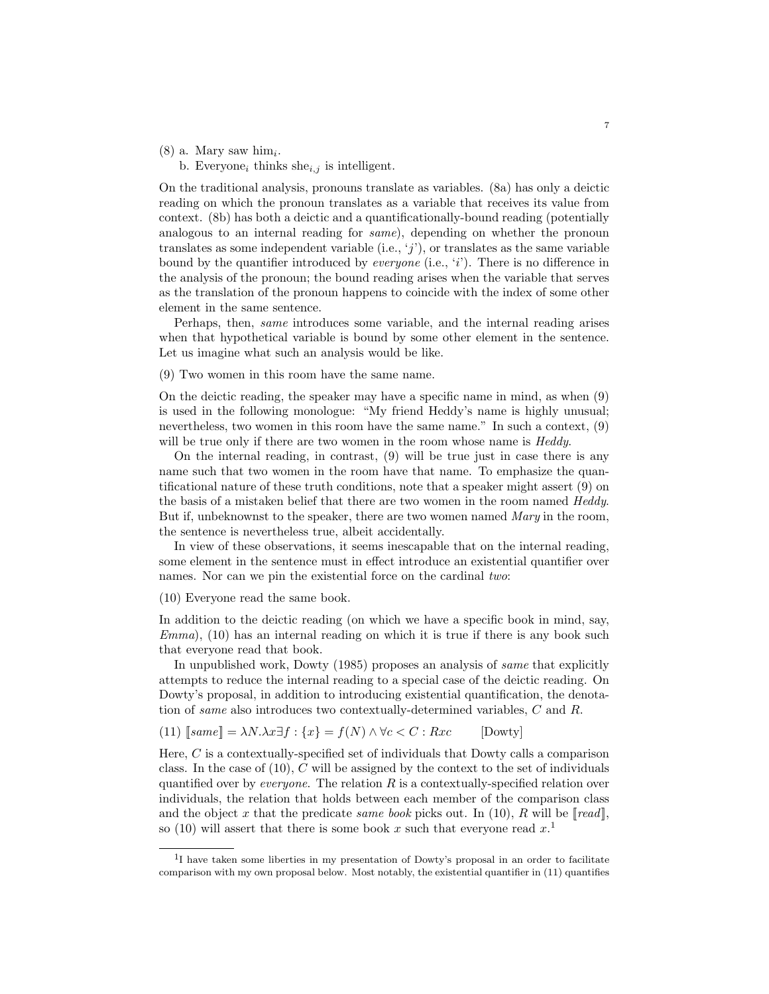- $(8)$  a. Mary saw him<sub>i</sub>.
	- b. Everyone<sub>i</sub> thinks she<sub>i,j</sub> is intelligent.

On the traditional analysis, pronouns translate as variables. (8a) has only a deictic reading on which the pronoun translates as a variable that receives its value from context. (8b) has both a deictic and a quantificationally-bound reading (potentially analogous to an internal reading for same), depending on whether the pronoun translates as some independent variable (i.e.,  $\langle j' \rangle$ ), or translates as the same variable bound by the quantifier introduced by *everyone* (i.e.,  $i$ ). There is no difference in the analysis of the pronoun; the bound reading arises when the variable that serves as the translation of the pronoun happens to coincide with the index of some other element in the same sentence.

Perhaps, then, same introduces some variable, and the internal reading arises when that hypothetical variable is bound by some other element in the sentence. Let us imagine what such an analysis would be like.

(9) Two women in this room have the same name.

On the deictic reading, the speaker may have a specific name in mind, as when (9) is used in the following monologue: "My friend Heddy's name is highly unusual; nevertheless, two women in this room have the same name." In such a context, (9) will be true only if there are two women in the room whose name is *Heddy*.

On the internal reading, in contrast, (9) will be true just in case there is any name such that two women in the room have that name. To emphasize the quantificational nature of these truth conditions, note that a speaker might assert (9) on the basis of a mistaken belief that there are two women in the room named Heddy. But if, unbeknownst to the speaker, there are two women named  $Mary$  in the room, the sentence is nevertheless true, albeit accidentally.

In view of these observations, it seems inescapable that on the internal reading, some element in the sentence must in effect introduce an existential quantifier over names. Nor can we pin the existential force on the cardinal two:

(10) Everyone read the same book.

In addition to the deictic reading (on which we have a specific book in mind, say,  $Emma$ , (10) has an internal reading on which it is true if there is any book such that everyone read that book.

In unpublished work, Dowty (1985) proposes an analysis of same that explicitly attempts to reduce the internal reading to a special case of the deictic reading. On Dowty's proposal, in addition to introducing existential quantification, the denotation of same also introduces two contextually-determined variables, C and R.

(11) 
$$
[same] = \lambda N. \lambda x \exists f : \{x\} = f(N) \land \forall c < C : Rxc
$$
 [Dowty]

Here, C is a contextually-specified set of individuals that Dowty calls a comparison class. In the case of  $(10)$ ,  $C$  will be assigned by the context to the set of individuals quantified over by *everyone*. The relation  $R$  is a contextually-specified relation over individuals, the relation that holds between each member of the comparison class and the object x that the predicate same book picks out. In (10), R will be  $\lceil \text{read} \rceil$ , so (10) will assert that there is some book x such that everyone read  $x$ <sup>1</sup>

<sup>&</sup>lt;sup>1</sup>I have taken some liberties in my presentation of Dowty's proposal in an order to facilitate comparison with my own proposal below. Most notably, the existential quantifier in (11) quantifies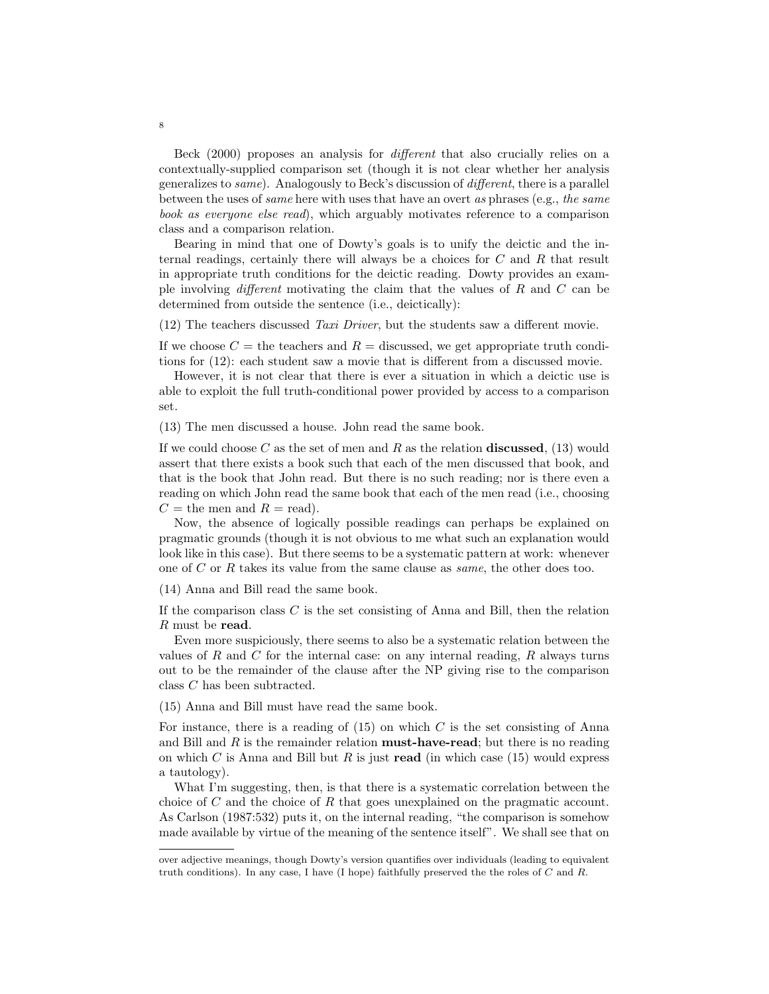Beck (2000) proposes an analysis for different that also crucially relies on a contextually-supplied comparison set (though it is not clear whether her analysis generalizes to same). Analogously to Beck's discussion of different, there is a parallel between the uses of same here with uses that have an overt as phrases (e.g., the same book as everyone else read), which arguably motivates reference to a comparison class and a comparison relation.

Bearing in mind that one of Dowty's goals is to unify the deictic and the internal readings, certainly there will always be a choices for  $C$  and  $R$  that result in appropriate truth conditions for the deictic reading. Dowty provides an example involving different motivating the claim that the values of  $R$  and  $C$  can be determined from outside the sentence (i.e., deictically):

(12) The teachers discussed Taxi Driver, but the students saw a different movie.

If we choose  $C =$  the teachers and  $R =$  discussed, we get appropriate truth conditions for (12): each student saw a movie that is different from a discussed movie.

However, it is not clear that there is ever a situation in which a deictic use is able to exploit the full truth-conditional power provided by access to a comparison set.

(13) The men discussed a house. John read the same book.

If we could choose C as the set of men and R as the relation discussed,  $(13)$  would assert that there exists a book such that each of the men discussed that book, and that is the book that John read. But there is no such reading; nor is there even a reading on which John read the same book that each of the men read (i.e., choosing  $C =$  the men and  $R =$  read).

Now, the absence of logically possible readings can perhaps be explained on pragmatic grounds (though it is not obvious to me what such an explanation would look like in this case). But there seems to be a systematic pattern at work: whenever one of C or R takes its value from the same clause as *same*, the other does too.

(14) Anna and Bill read the same book.

If the comparison class  $C$  is the set consisting of Anna and Bill, then the relation R must be read.

Even more suspiciously, there seems to also be a systematic relation between the values of R and C for the internal case: on any internal reading, R always turns out to be the remainder of the clause after the NP giving rise to the comparison class C has been subtracted.

(15) Anna and Bill must have read the same book.

For instance, there is a reading of  $(15)$  on which C is the set consisting of Anna and Bill and  $R$  is the remainder relation **must-have-read**; but there is no reading on which C is Anna and Bill but R is just read (in which case  $(15)$  would express a tautology).

What I'm suggesting, then, is that there is a systematic correlation between the choice of  $C$  and the choice of  $R$  that goes unexplained on the pragmatic account. As Carlson (1987:532) puts it, on the internal reading, "the comparison is somehow made available by virtue of the meaning of the sentence itself". We shall see that on

over adjective meanings, though Dowty's version quantifies over individuals (leading to equivalent truth conditions). In any case, I have (I hope) faithfully preserved the the roles of  $C$  and  $R$ .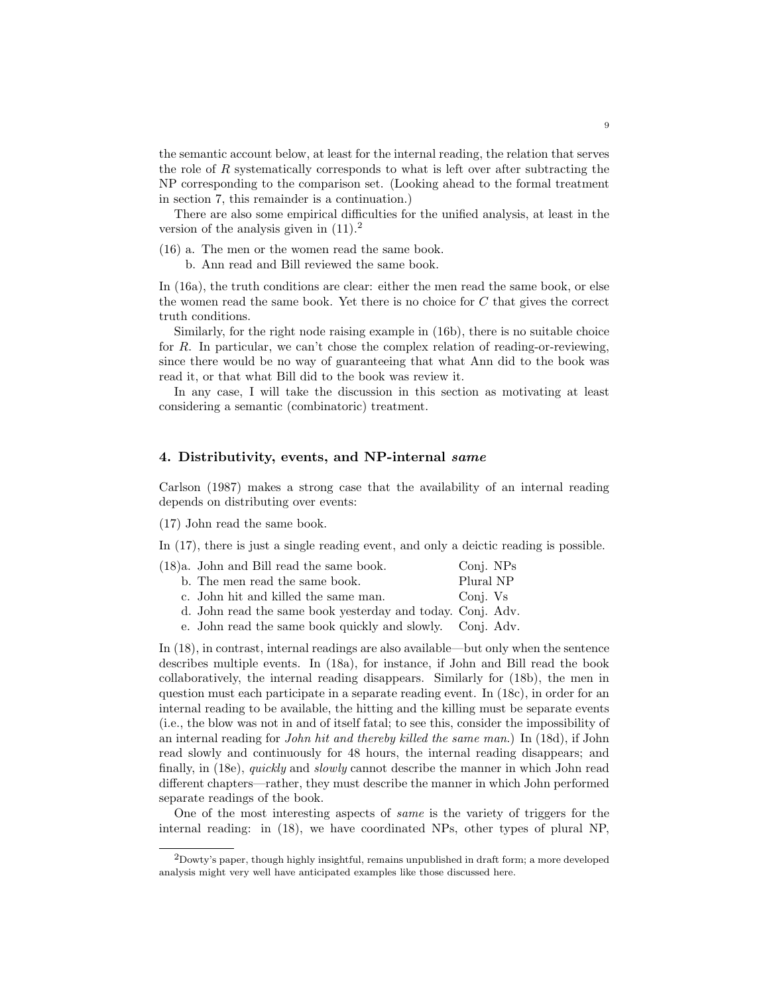the semantic account below, at least for the internal reading, the relation that serves the role of R systematically corresponds to what is left over after subtracting the NP corresponding to the comparison set. (Looking ahead to the formal treatment in section 7, this remainder is a continuation.)

There are also some empirical difficulties for the unified analysis, at least in the version of the analysis given in  $(11).<sup>2</sup>$ 

(16) a. The men or the women read the same book.

b. Ann read and Bill reviewed the same book.

In (16a), the truth conditions are clear: either the men read the same book, or else the women read the same book. Yet there is no choice for C that gives the correct truth conditions.

Similarly, for the right node raising example in (16b), there is no suitable choice for R. In particular, we can't chose the complex relation of reading-or-reviewing, since there would be no way of guaranteeing that what Ann did to the book was read it, or that what Bill did to the book was review it.

In any case, I will take the discussion in this section as motivating at least considering a semantic (combinatoric) treatment.

# 4. Distributivity, events, and NP-internal same

Carlson (1987) makes a strong case that the availability of an internal reading depends on distributing over events:

(17) John read the same book.

In (17), there is just a single reading event, and only a deictic reading is possible.

| $(18)a$ . John and Bill read the same book. | Conj. NPs |
|---------------------------------------------|-----------|
| b. The men read the same book.              | Plural NP |
| c. John hit and killed the same man.        | Conj. Vs  |

- d. John read the same book yesterday and today. Conj. Adv.
- e. John read the same book quickly and slowly. Conj. Adv.

In (18), in contrast, internal readings are also available—but only when the sentence describes multiple events. In (18a), for instance, if John and Bill read the book collaboratively, the internal reading disappears. Similarly for (18b), the men in question must each participate in a separate reading event. In (18c), in order for an internal reading to be available, the hitting and the killing must be separate events (i.e., the blow was not in and of itself fatal; to see this, consider the impossibility of an internal reading for John hit and thereby killed the same man.) In (18d), if John read slowly and continuously for 48 hours, the internal reading disappears; and finally, in (18e), quickly and slowly cannot describe the manner in which John read different chapters—rather, they must describe the manner in which John performed separate readings of the book.

One of the most interesting aspects of same is the variety of triggers for the internal reading: in (18), we have coordinated NPs, other types of plural NP,

 $2$ Dowty's paper, though highly insightful, remains unpublished in draft form; a more developed analysis might very well have anticipated examples like those discussed here.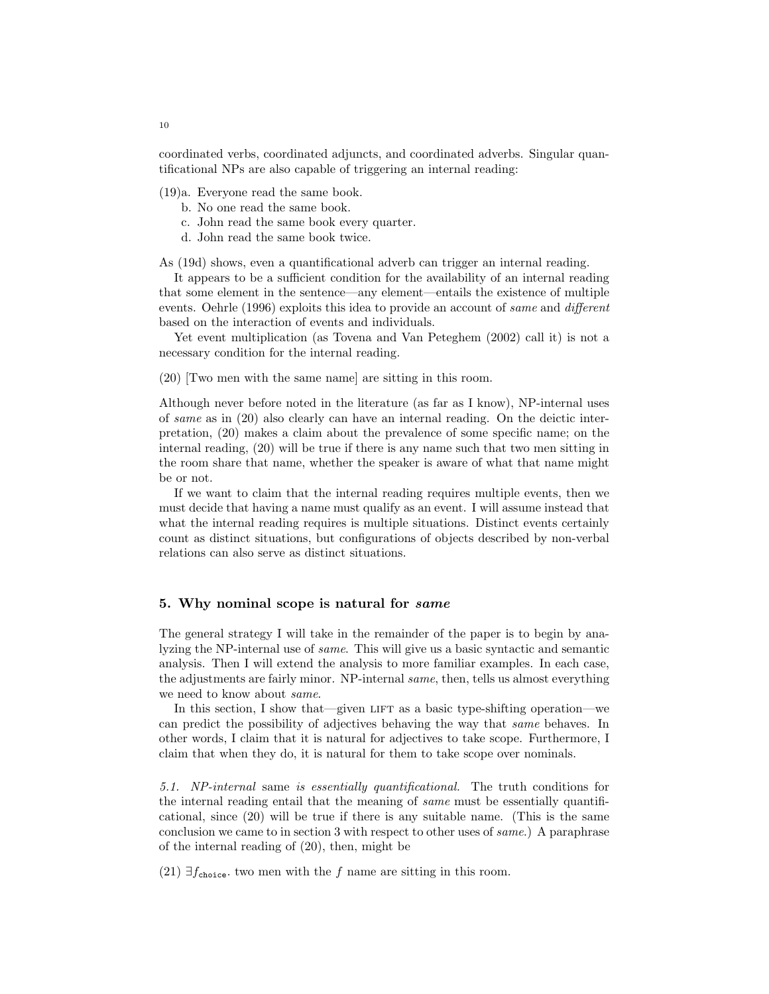coordinated verbs, coordinated adjuncts, and coordinated adverbs. Singular quantificational NPs are also capable of triggering an internal reading:

(19)a. Everyone read the same book.

- b. No one read the same book.
- c. John read the same book every quarter.
- d. John read the same book twice.

As (19d) shows, even a quantificational adverb can trigger an internal reading.

It appears to be a sufficient condition for the availability of an internal reading that some element in the sentence—any element—entails the existence of multiple events. Oehrle (1996) exploits this idea to provide an account of same and different based on the interaction of events and individuals.

Yet event multiplication (as Tovena and Van Peteghem (2002) call it) is not a necessary condition for the internal reading.

(20) [Two men with the same name] are sitting in this room.

Although never before noted in the literature (as far as I know), NP-internal uses of same as in (20) also clearly can have an internal reading. On the deictic interpretation, (20) makes a claim about the prevalence of some specific name; on the internal reading, (20) will be true if there is any name such that two men sitting in the room share that name, whether the speaker is aware of what that name might be or not.

If we want to claim that the internal reading requires multiple events, then we must decide that having a name must qualify as an event. I will assume instead that what the internal reading requires is multiple situations. Distinct events certainly count as distinct situations, but configurations of objects described by non-verbal relations can also serve as distinct situations.

# 5. Why nominal scope is natural for same

The general strategy I will take in the remainder of the paper is to begin by analyzing the NP-internal use of same. This will give us a basic syntactic and semantic analysis. Then I will extend the analysis to more familiar examples. In each case, the adjustments are fairly minor. NP-internal same, then, tells us almost everything we need to know about same.

In this section, I show that—given LIFT as a basic type-shifting operation—we can predict the possibility of adjectives behaving the way that same behaves. In other words, I claim that it is natural for adjectives to take scope. Furthermore, I claim that when they do, it is natural for them to take scope over nominals.

5.1. NP-internal same is essentially quantificational. The truth conditions for the internal reading entail that the meaning of same must be essentially quantificational, since (20) will be true if there is any suitable name. (This is the same conclusion we came to in section 3 with respect to other uses of same.) A paraphrase of the internal reading of (20), then, might be

(21)  $\exists f_{choice}$  two men with the f name are sitting in this room.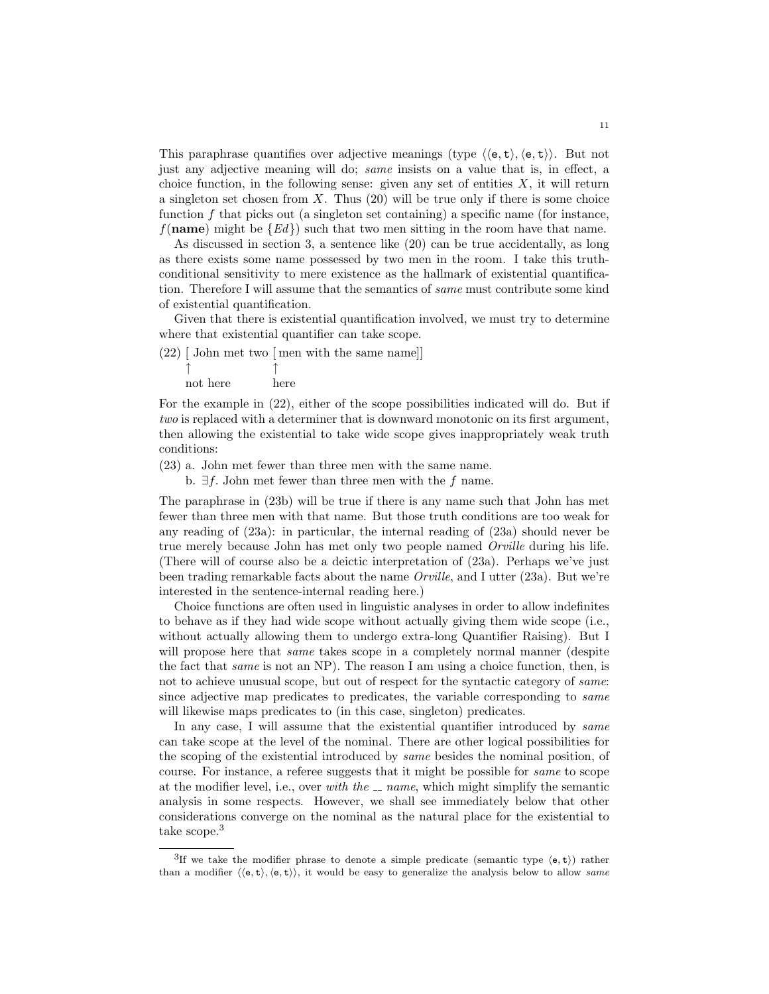This paraphrase quantifies over adjective meanings (type  $\langle e, t \rangle, \langle e, t \rangle$ ). But not just any adjective meaning will do; same insists on a value that is, in effect, a choice function, in the following sense: given any set of entities  $X$ , it will return a singleton set chosen from  $X$ . Thus  $(20)$  will be true only if there is some choice function  $f$  that picks out (a singleton set containing) a specific name (for instance,  $f(\textbf{name})$  might be  $\{Ed\}$  such that two men sitting in the room have that name.

As discussed in section 3, a sentence like (20) can be true accidentally, as long as there exists some name possessed by two men in the room. I take this truthconditional sensitivity to mere existence as the hallmark of existential quantification. Therefore I will assume that the semantics of same must contribute some kind of existential quantification.

Given that there is existential quantification involved, we must try to determine where that existential quantifier can take scope.

(22) [ John met two [ men with the same name]] ↑ ↑

not here here

For the example in (22), either of the scope possibilities indicated will do. But if two is replaced with a determiner that is downward monotonic on its first argument, then allowing the existential to take wide scope gives inappropriately weak truth conditions:

(23) a. John met fewer than three men with the same name.

b.  $∃f$ . John met fewer than three men with the f name.

The paraphrase in (23b) will be true if there is any name such that John has met fewer than three men with that name. But those truth conditions are too weak for any reading of (23a): in particular, the internal reading of (23a) should never be true merely because John has met only two people named Orville during his life. (There will of course also be a deictic interpretation of (23a). Perhaps we've just been trading remarkable facts about the name Orville, and I utter (23a). But we're interested in the sentence-internal reading here.)

Choice functions are often used in linguistic analyses in order to allow indefinites to behave as if they had wide scope without actually giving them wide scope (i.e., without actually allowing them to undergo extra-long Quantifier Raising). But I will propose here that *same* takes scope in a completely normal manner (despite the fact that same is not an NP). The reason I am using a choice function, then, is not to achieve unusual scope, but out of respect for the syntactic category of same: since adjective map predicates to predicates, the variable corresponding to *same* will likewise maps predicates to (in this case, singleton) predicates.

In any case, I will assume that the existential quantifier introduced by *same* can take scope at the level of the nominal. There are other logical possibilities for the scoping of the existential introduced by same besides the nominal position, of course. For instance, a referee suggests that it might be possible for same to scope at the modifier level, i.e., over with the  $\sqrt{ }$  name, which might simplify the semantic analysis in some respects. However, we shall see immediately below that other considerations converge on the nominal as the natural place for the existential to take scope.<sup>3</sup>

<sup>&</sup>lt;sup>3</sup>If we take the modifier phrase to denote a simple predicate (semantic type  $(e, t)$ ) rather than a modifier  $\langle \langle e, t \rangle, \langle e, t \rangle \rangle$ , it would be easy to generalize the analysis below to allow same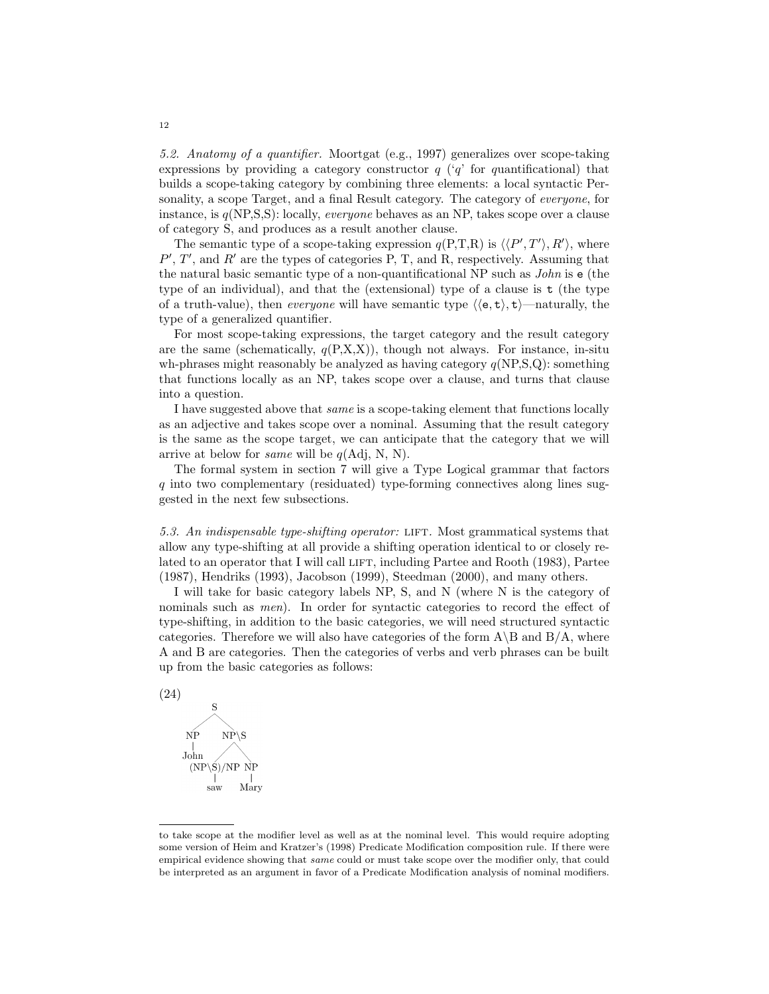5.2. Anatomy of a quantifier. Moortgat (e.g., 1997) generalizes over scope-taking expressions by providing a category constructor  $q$  ( $q'$  for quantificational) that builds a scope-taking category by combining three elements: a local syntactic Personality, a scope Target, and a final Result category. The category of *everyone*, for instance, is  $q(NP,S,S)$ : locally, *everyone* behaves as an NP, takes scope over a clause of category S, and produces as a result another clause.

The semantic type of a scope-taking expression  $q(P,T,R)$  is  $\langle P', T' \rangle, R' \rangle$ , where  $P', T'$ , and  $R'$  are the types of categories P, T, and R, respectively. Assuming that the natural basic semantic type of a non-quantificational NP such as John is e (the type of an individual), and that the (extensional) type of a clause is t (the type of a truth-value), then *everyone* will have semantic type  $\langle \langle e, t \rangle, t \rangle$ —naturally, the type of a generalized quantifier.

For most scope-taking expressions, the target category and the result category are the same (schematically,  $q(P,X,X)$ ), though not always. For instance, in-situ wh-phrases might reasonably be analyzed as having category  $q(NP,S,Q)$ : something that functions locally as an NP, takes scope over a clause, and turns that clause into a question.

I have suggested above that same is a scope-taking element that functions locally as an adjective and takes scope over a nominal. Assuming that the result category is the same as the scope target, we can anticipate that the category that we will arrive at below for *same* will be  $q(\text{Adj}, \text{N}, \text{N}).$ 

The formal system in section 7 will give a Type Logical grammar that factors q into two complementary (residuated) type-forming connectives along lines suggested in the next few subsections.

5.3. An indispensable type-shifting operator: LIFT. Most grammatical systems that allow any type-shifting at all provide a shifting operation identical to or closely related to an operator that I will call LIFT, including Partee and Rooth (1983), Partee (1987), Hendriks (1993), Jacobson (1999), Steedman (2000), and many others.

I will take for basic category labels NP, S, and N (where N is the category of nominals such as *men*). In order for syntactic categories to record the effect of type-shifting, in addition to the basic categories, we will need structured syntactic categories. Therefore we will also have categories of the form  $A\setminus B$  and  $B/A$ , where A and B are categories. Then the categories of verbs and verb phrases can be built up from the basic categories as follows:



to take scope at the modifier level as well as at the nominal level. This would require adopting some version of Heim and Kratzer's (1998) Predicate Modification composition rule. If there were empirical evidence showing that same could or must take scope over the modifier only, that could be interpreted as an argument in favor of a Predicate Modification analysis of nominal modifiers.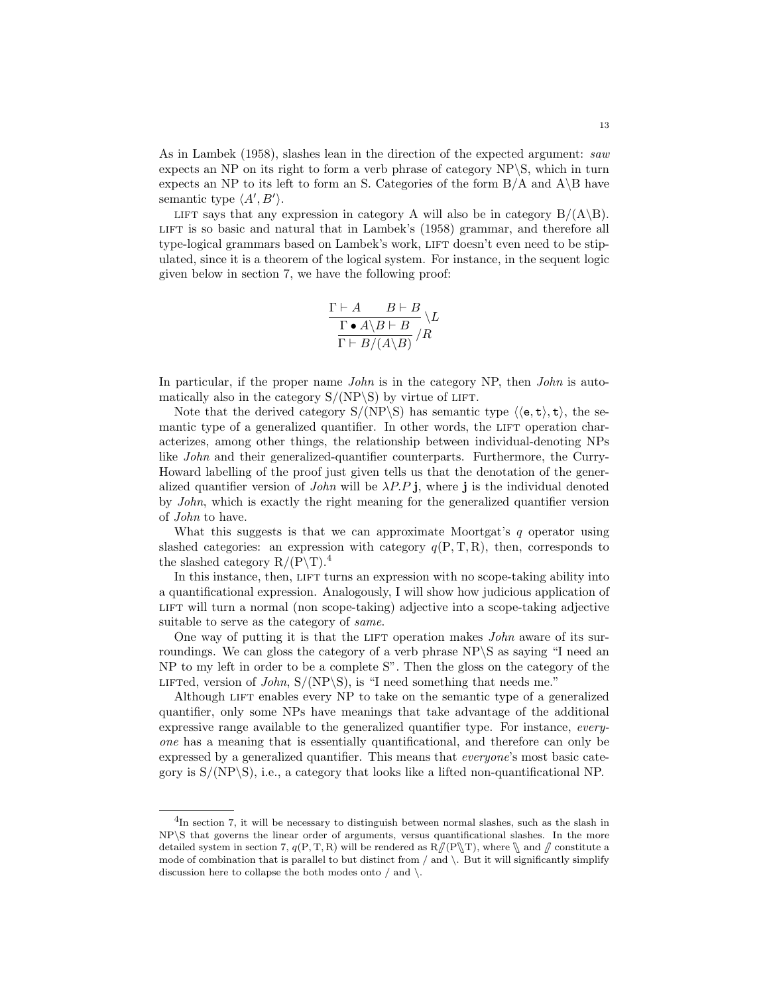As in Lambek (1958), slashes lean in the direction of the expected argument: saw expects an NP on its right to form a verb phrase of category NP\S, which in turn expects an NP to its left to form an S. Categories of the form  $B/A$  and  $A\ B$  have semantic type  $\langle A', B' \rangle$ .

LIFT says that any expression in category A will also be in category  $B/(A\setminus B)$ . LIFT is so basic and natural that in Lambek's (1958) grammar, and therefore all type-logical grammars based on Lambek's work, LIFT doesn't even need to be stipulated, since it is a theorem of the logical system. For instance, in the sequent logic given below in section 7, we have the following proof:

$$
\frac{\Gamma \vdash A \qquad B \vdash B}{\Gamma \bullet A \setminus B \vdash B} \setminus L \n\frac{\Gamma \bullet A \setminus B \vdash B}{\Gamma \vdash B/(A \setminus B)}/R
$$

In particular, if the proper name *John* is in the category NP, then *John* is automatically also in the category  $S/(NP\S)$  by virtue of LIFT.

Note that the derived category  $S/(NP\S)$  has semantic type  $\langle \langle e, t \rangle, t \rangle$ , the semantic type of a generalized quantifier. In other words, the LIFT operation characterizes, among other things, the relationship between individual-denoting NPs like *John* and their generalized-quantifier counterparts. Furthermore, the Curry-Howard labelling of the proof just given tells us that the denotation of the generalized quantifier version of *John* will be  $\lambda P.P.$ **j**, where **j** is the individual denoted by John, which is exactly the right meaning for the generalized quantifier version of John to have.

What this suggests is that we can approximate Moortgat's  $q$  operator using slashed categories: an expression with category  $q(P, T, R)$ , then, corresponds to the slashed category  $R/(P\mathcal{T})$ .<sup>4</sup>

In this instance, then, LIFT turns an expression with no scope-taking ability into a quantificational expression. Analogously, I will show how judicious application of lift will turn a normal (non scope-taking) adjective into a scope-taking adjective suitable to serve as the category of *same*.

One way of putting it is that the LIFT operation makes  $John$  aware of its surroundings. We can gloss the category of a verb phrase NP\S as saying "I need an NP to my left in order to be a complete S". Then the gloss on the category of the LIFTed, version of *John*,  $S/(NP\S)$ , is "I need something that needs me."

Although LIFT enables every NP to take on the semantic type of a generalized quantifier, only some NPs have meanings that take advantage of the additional expressive range available to the generalized quantifier type. For instance, everyone has a meaning that is essentially quantificational, and therefore can only be expressed by a generalized quantifier. This means that everyone's most basic category is  $S/(NP\S)$ , i.e., a category that looks like a lifted non-quantificational NP.

<sup>&</sup>lt;sup>4</sup>In section 7, it will be necessary to distinguish between normal slashes, such as the slash in NP\S that governs the linear order of arguments, versus quantificational slashes. In the more detailed system in section 7,  $q(P, T, R)$  will be rendered as  $R/(P \T)$ , where  $\Lambda$  and  $\Lambda$  constitute a mode of combination that is parallel to but distinct from  $/$  and  $\backslash$ . But it will significantly simplify discussion here to collapse the both modes onto  $/$  and  $\backslash$ .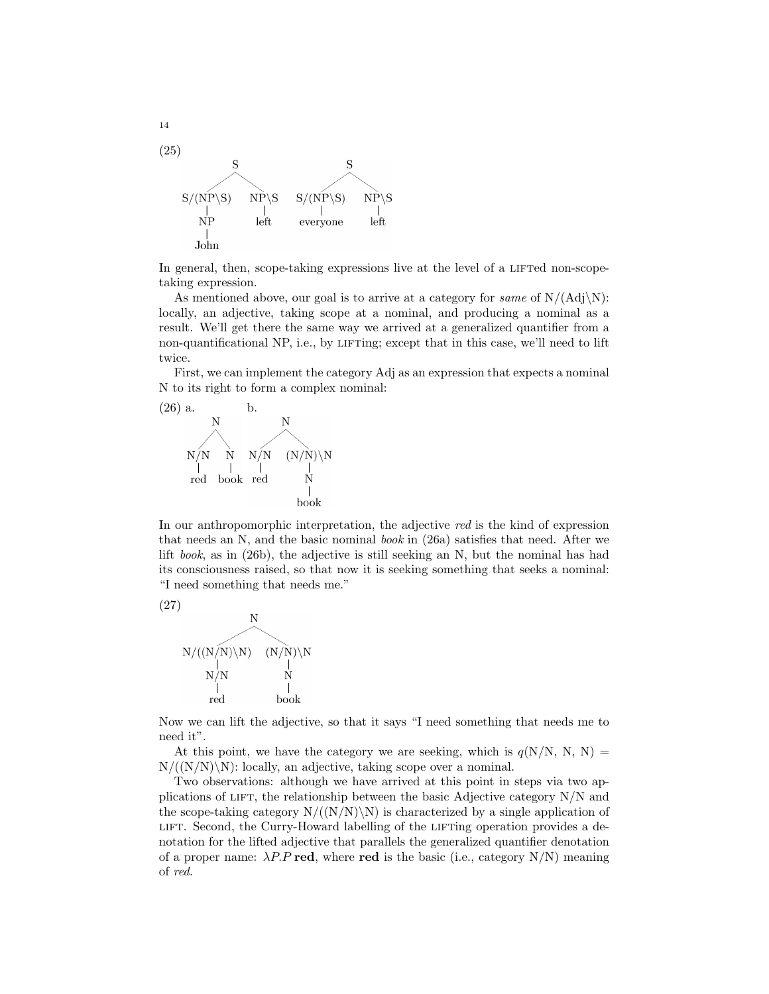

In general, then, scope-taking expressions live at the level of a LIFTed non-scopetaking expression.

As mentioned above, our goal is to arrive at a category for *same* of  $N/(Adj\N)$ : locally, an adjective, taking scope at a nominal, and producing a nominal as a result. We'll get there the same way we arrived at a generalized quantifier from a non-quantificational NP, i.e., by LIFTing; except that in this case, we'll need to lift twice.

First, we can implement the category Adj as an expression that expects a nominal N to its right to form a complex nominal:



In our anthropomorphic interpretation, the adjective red is the kind of expression that needs an N, and the basic nominal *book* in  $(26a)$  satisfies that need. After we lift book, as in (26b), the adjective is still seeking an N, but the nominal has had its consciousness raised, so that now it is seeking something that seeks a nominal: "I need something that needs me."



Now we can lift the adjective, so that it says "I need something that needs me to need it".

At this point, we have the category we are seeking, which is  $q(N/N, N, N)$  =  $N/((N/N)\backslash N)$ : locally, an adjective, taking scope over a nominal.

Two observations: although we have arrived at this point in steps via two applications of LIFT, the relationship between the basic Adjective category  $N/N$  and the scope-taking category  $N/((N/N)\N)$  is characterized by a single application of lift. Second, the Curry-Howard labelling of the lifting operation provides a denotation for the lifted adjective that parallels the generalized quantifier denotation of a proper name:  $\lambda P.P \text{ red}$ , where red is the basic (i.e., category N/N) meaning of red.

14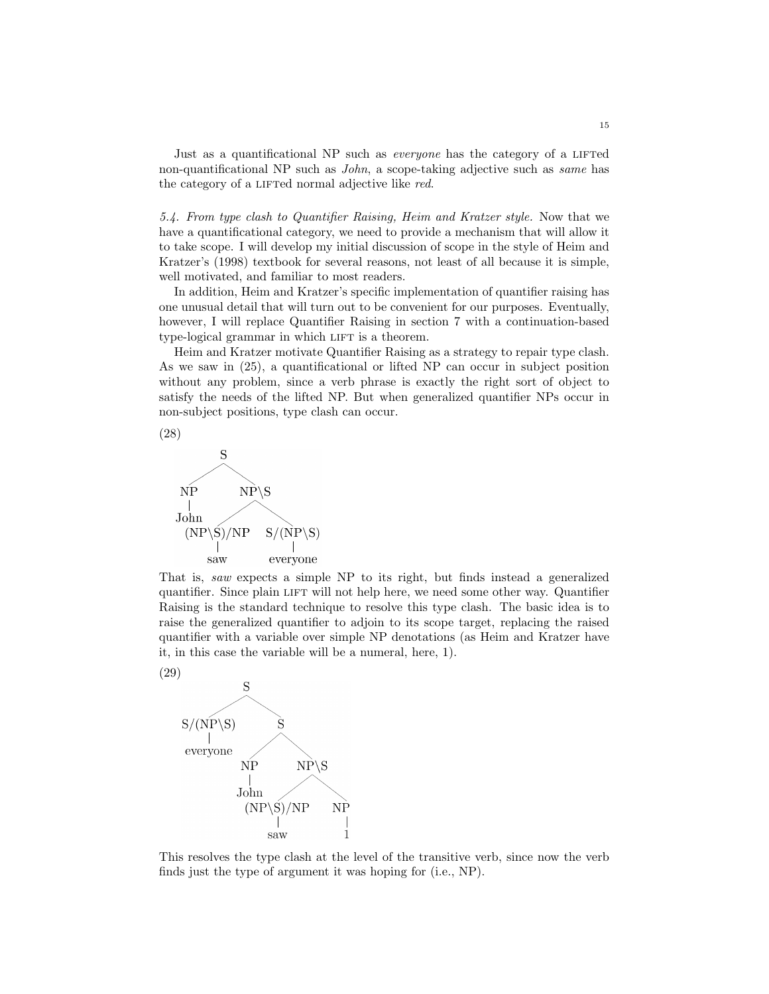Just as a quantificational NP such as *everyone* has the category of a LIFTed non-quantificational NP such as John, a scope-taking adjective such as same has the category of a LIFTed normal adjective like red.

5.4. From type clash to Quantifier Raising, Heim and Kratzer style. Now that we have a quantificational category, we need to provide a mechanism that will allow it to take scope. I will develop my initial discussion of scope in the style of Heim and Kratzer's (1998) textbook for several reasons, not least of all because it is simple, well motivated, and familiar to most readers.

In addition, Heim and Kratzer's specific implementation of quantifier raising has one unusual detail that will turn out to be convenient for our purposes. Eventually, however, I will replace Quantifier Raising in section 7 with a continuation-based type-logical grammar in which LIFT is a theorem.

Heim and Kratzer motivate Quantifier Raising as a strategy to repair type clash. As we saw in (25), a quantificational or lifted NP can occur in subject position without any problem, since a verb phrase is exactly the right sort of object to satisfy the needs of the lifted NP. But when generalized quantifier NPs occur in non-subject positions, type clash can occur.





quantifier. Since plain LIFT will not help here, we need some other way. Quantifier Raising is the standard technique to resolve this type clash. The basic idea is to raise the generalized quantifier to adjoin to its scope target, replacing the raised quantifier with a variable over simple NP denotations (as Heim and Kratzer have it, in this case the variable will be a numeral, here, 1).



This resolves the type clash at the level of the transitive verb, since now the verb finds just the type of argument it was hoping for (i.e., NP).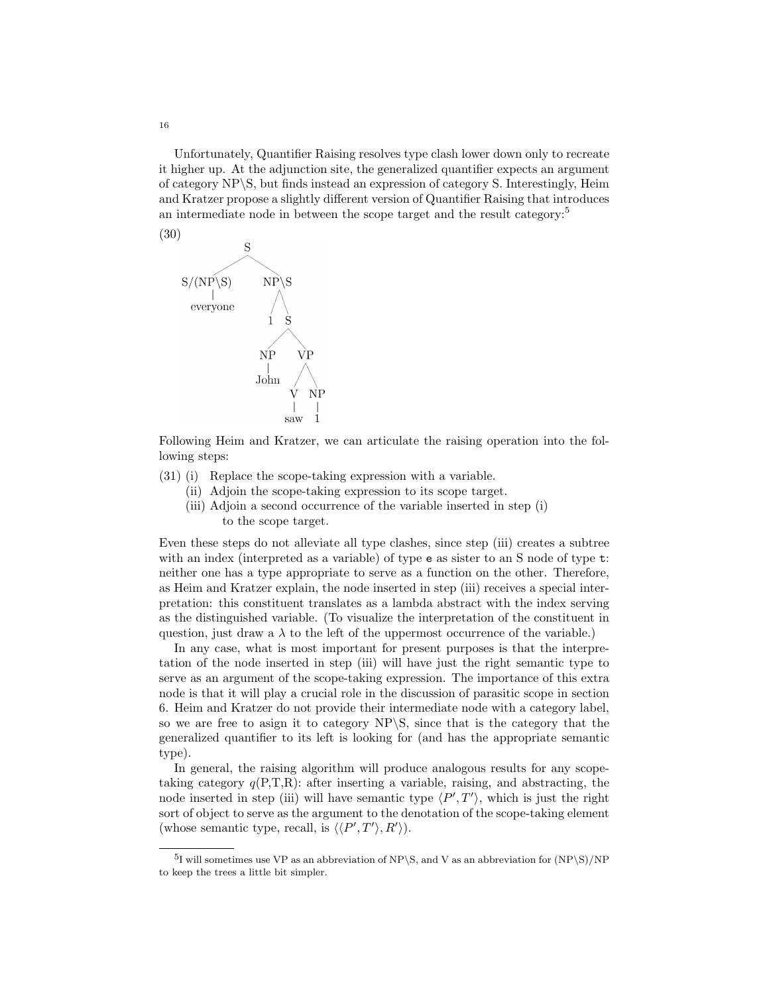Unfortunately, Quantifier Raising resolves type clash lower down only to recreate it higher up. At the adjunction site, the generalized quantifier expects an argument of category NP\S, but finds instead an expression of category S. Interestingly, Heim and Kratzer propose a slightly different version of Quantifier Raising that introduces an intermediate node in between the scope target and the result category:<sup>5</sup>



Following Heim and Kratzer, we can articulate the raising operation into the following steps:

- (31) (i) Replace the scope-taking expression with a variable.
	- (ii) Adjoin the scope-taking expression to its scope target.
	- (iii) Adjoin a second occurrence of the variable inserted in step (i) to the scope target.

Even these steps do not alleviate all type clashes, since step (iii) creates a subtree with an index (interpreted as a variable) of type e as sister to an S node of type t: neither one has a type appropriate to serve as a function on the other. Therefore, as Heim and Kratzer explain, the node inserted in step (iii) receives a special interpretation: this constituent translates as a lambda abstract with the index serving as the distinguished variable. (To visualize the interpretation of the constituent in question, just draw a  $\lambda$  to the left of the uppermost occurrence of the variable.)

In any case, what is most important for present purposes is that the interpretation of the node inserted in step (iii) will have just the right semantic type to serve as an argument of the scope-taking expression. The importance of this extra node is that it will play a crucial role in the discussion of parasitic scope in section 6. Heim and Kratzer do not provide their intermediate node with a category label, so we are free to asign it to category NP\S, since that is the category that the generalized quantifier to its left is looking for (and has the appropriate semantic type).

In general, the raising algorithm will produce analogous results for any scopetaking category  $q(P,T,R)$ : after inserting a variable, raising, and abstracting, the node inserted in step (iii) will have semantic type  $\langle P',T'\rangle$ , which is just the right sort of object to serve as the argument to the denotation of the scope-taking element (whose semantic type, recall, is  $\langle \langle P', T' \rangle, R' \rangle$ ).

16

<sup>&</sup>lt;sup>5</sup>I will sometimes use VP as an abbreviation of NP\S, and V as an abbreviation for  $(NP\ S)/NP$ to keep the trees a little bit simpler.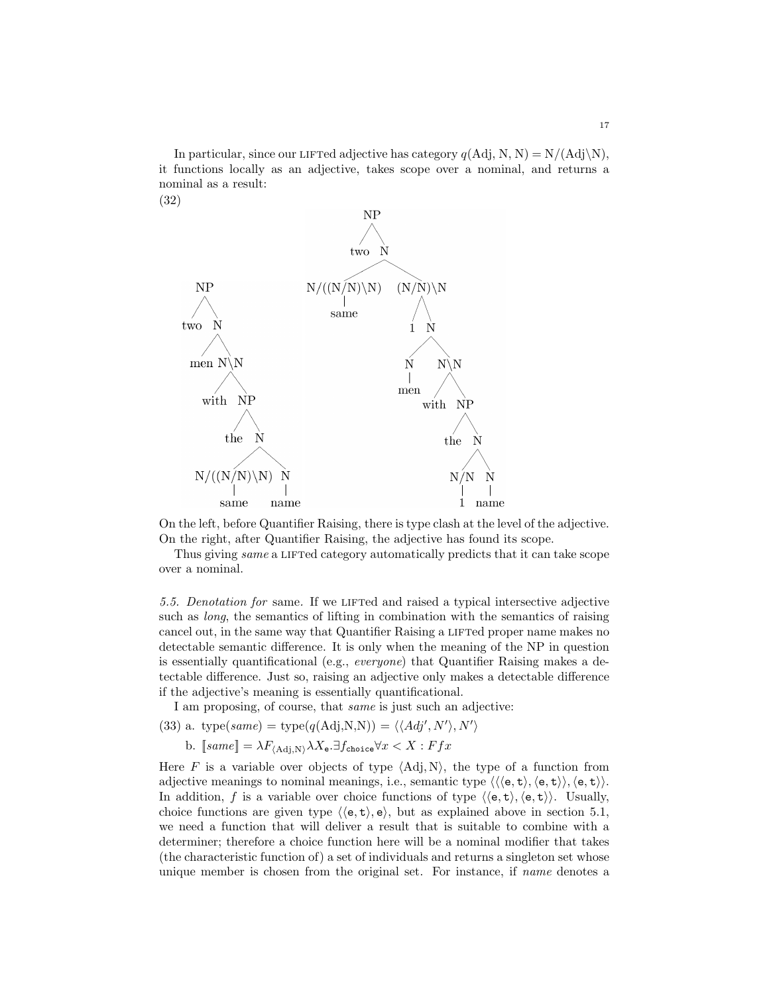In particular, since our LIFTed adjective has category  $q(\text{Adj}, \text{N}, \text{N}) = \text{N}/(\text{Adj}\backslash\text{N})$ , it functions locally as an adjective, takes scope over a nominal, and returns a nominal as a result:



On the left, before Quantifier Raising, there is type clash at the level of the adjective. On the right, after Quantifier Raising, the adjective has found its scope.

Thus giving same a LIFTed category automatically predicts that it can take scope over a nominal.

5.5. Denotation for same. If we LIFTed and raised a typical intersective adjective such as long, the semantics of lifting in combination with the semantics of raising cancel out, in the same way that Quantifier Raising a LIFTed proper name makes no detectable semantic difference. It is only when the meaning of the NP in question is essentially quantificational (e.g., everyone) that Quantifier Raising makes a detectable difference. Just so, raising an adjective only makes a detectable difference if the adjective's meaning is essentially quantificational.

 $\rangle$ 

I am proposing, of course, that same is just such an adjective:

(33) a. type(*same*) = type(
$$
q
$$
(Adj,N,N)) =  $\langle \langle Adj', N' \rangle, N'$ 

b. 
$$
[same] = \lambda F_{\langle Adj, N \rangle} \lambda X_e
$$
.  $\exists f_{choice} \forall x < X : Ffx$ 

Here F is a variable over objects of type  $\langle \text{Adj}, \text{N} \rangle$ , the type of a function from adjective meanings to nominal meanings, i.e., semantic type  $\langle \langle \langle e, t \rangle, \langle e, t \rangle \rangle, \langle e, t \rangle \rangle$ . In addition, f is a variable over choice functions of type  $\langle \langle e, t \rangle, \langle e, t \rangle \rangle$ . Usually, choice functions are given type  $\langle \langle e, t \rangle, e \rangle$ , but as explained above in section 5.1, we need a function that will deliver a result that is suitable to combine with a determiner; therefore a choice function here will be a nominal modifier that takes (the characteristic function of) a set of individuals and returns a singleton set whose unique member is chosen from the original set. For instance, if name denotes a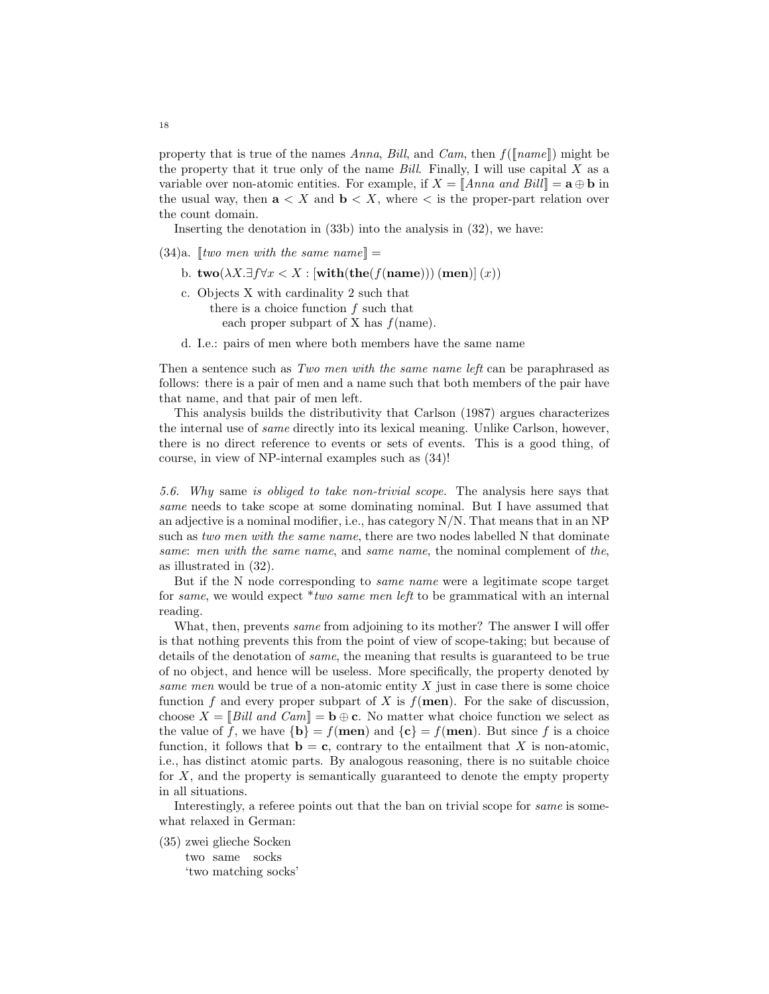property that is true of the names Anna, Bill, and Cam, then  $f(\lceil name \rceil)$  might be the property that it true only of the name  $Bill.$  Finally, I will use capital X as a variable over non-atomic entities. For example, if  $X = \|\text{Anna and Bill}\| = \mathbf{a} \oplus \mathbf{b}$  in the usual way, then  $a < X$  and  $b < X$ , where  $\lt$  is the proper-part relation over the count domain.

Inserting the denotation in (33b) into the analysis in (32), we have:

- $(34)a.$  [two men with the same name] =
	- b.  $\mathbf{two}(\lambda X.\exists f \forall x < X : [\textbf{with}(\textbf{the}(f(\textbf{name}))) (\textbf{men})](x))$
	- c. Objects X with cardinality 2 such that there is a choice function  $f$  such that each proper subpart of X has  $f$ (name).
	- d. I.e.: pairs of men where both members have the same name

Then a sentence such as Two men with the same name left can be paraphrased as follows: there is a pair of men and a name such that both members of the pair have that name, and that pair of men left.

This analysis builds the distributivity that Carlson (1987) argues characterizes the internal use of same directly into its lexical meaning. Unlike Carlson, however, there is no direct reference to events or sets of events. This is a good thing, of course, in view of NP-internal examples such as (34)!

5.6. Why same is obliged to take non-trivial scope. The analysis here says that same needs to take scope at some dominating nominal. But I have assumed that an adjective is a nominal modifier, i.e., has category N/N. That means that in an NP such as two men with the same name, there are two nodes labelled N that dominate same: men with the same name, and same name, the nominal complement of the, as illustrated in (32).

But if the N node corresponding to *same name* were a legitimate scope target for same, we would expect \*two same men left to be grammatical with an internal reading.

What, then, prevents *same* from adjoining to its mother? The answer I will offer is that nothing prevents this from the point of view of scope-taking; but because of details of the denotation of same, the meaning that results is guaranteed to be true of no object, and hence will be useless. More specifically, the property denoted by same men would be true of a non-atomic entity  $X$  just in case there is some choice function f and every proper subpart of X is  $f(\mathbf{men})$ . For the sake of discussion, choose  $X = \|\textit{Bill} \textit{ and } \textit{Cam}\| = \mathbf{b} \oplus \mathbf{c}$ . No matter what choice function we select as the value of f, we have  ${\bf b} = f(\text{men})$  and  ${\bf c} = f(\text{men})$ . But since f is a choice function, it follows that  $\mathbf{b} = \mathbf{c}$ , contrary to the entailment that X is non-atomic, i.e., has distinct atomic parts. By analogous reasoning, there is no suitable choice for X, and the property is semantically guaranteed to denote the empty property in all situations.

Interestingly, a referee points out that the ban on trivial scope for same is somewhat relaxed in German:

(35) zwei glieche Socken two same socks 'two matching socks'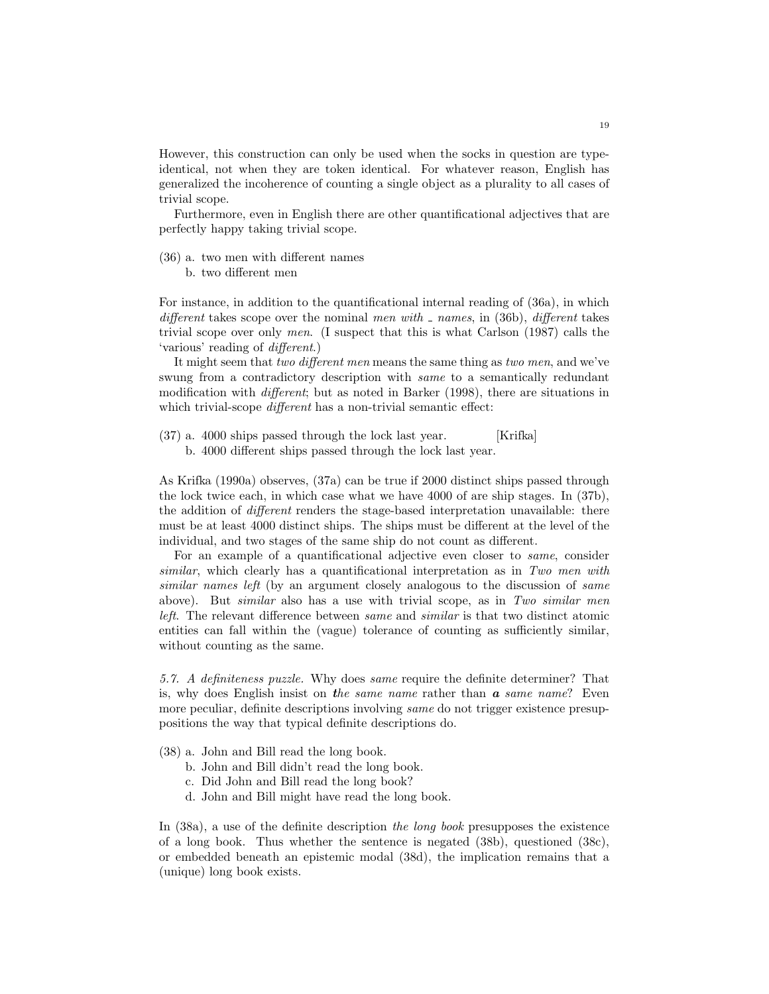However, this construction can only be used when the socks in question are typeidentical, not when they are token identical. For whatever reason, English has generalized the incoherence of counting a single object as a plurality to all cases of trivial scope.

Furthermore, even in English there are other quantificational adjectives that are perfectly happy taking trivial scope.

- (36) a. two men with different names
	- b. two different men

For instance, in addition to the quantificational internal reading of (36a), in which different takes scope over the nominal men with  $\Delta$  names, in (36b), different takes trivial scope over only men. (I suspect that this is what Carlson (1987) calls the 'various' reading of different.)

It might seem that two different men means the same thing as two men, and we've swung from a contradictory description with *same* to a semantically redundant modification with different; but as noted in Barker (1998), there are situations in which trivial-scope *different* has a non-trivial semantic effect:

(37) a. 4000 ships passed through the lock last year. [Krifka] b. 4000 different ships passed through the lock last year.

As Krifka (1990a) observes, (37a) can be true if 2000 distinct ships passed through the lock twice each, in which case what we have 4000 of are ship stages. In (37b), the addition of different renders the stage-based interpretation unavailable: there must be at least 4000 distinct ships. The ships must be different at the level of the individual, and two stages of the same ship do not count as different.

For an example of a quantificational adjective even closer to *same*, consider similar, which clearly has a quantificational interpretation as in Two men with similar names left (by an argument closely analogous to the discussion of same above). But similar also has a use with trivial scope, as in Two similar men left. The relevant difference between same and similar is that two distinct atomic entities can fall within the (vague) tolerance of counting as sufficiently similar, without counting as the same.

5.7. A definiteness puzzle. Why does same require the definite determiner? That is, why does English insist on the same name rather than  $\alpha$  same name? Even more peculiar, definite descriptions involving same do not trigger existence presuppositions the way that typical definite descriptions do.

- (38) a. John and Bill read the long book.
	- b. John and Bill didn't read the long book.
	- c. Did John and Bill read the long book?
	- d. John and Bill might have read the long book.

In (38a), a use of the definite description the long book presupposes the existence of a long book. Thus whether the sentence is negated (38b), questioned (38c), or embedded beneath an epistemic modal (38d), the implication remains that a (unique) long book exists.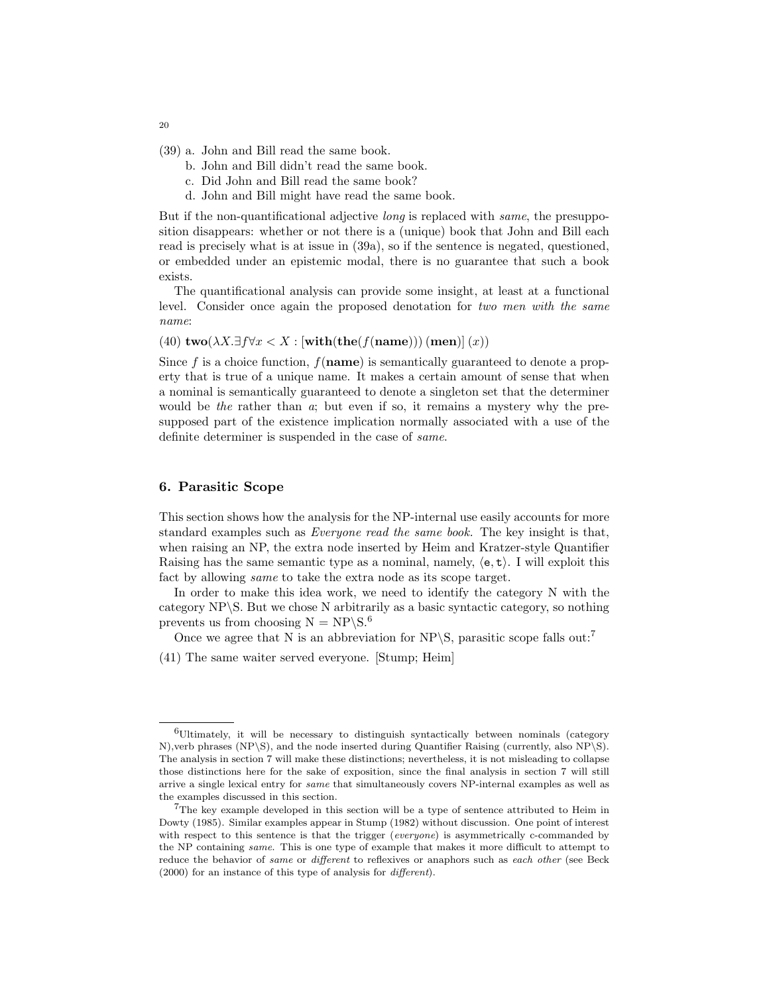- (39) a. John and Bill read the same book.
	- b. John and Bill didn't read the same book.
	- c. Did John and Bill read the same book?
	- d. John and Bill might have read the same book.

But if the non-quantificational adjective long is replaced with same, the presupposition disappears: whether or not there is a (unique) book that John and Bill each read is precisely what is at issue in (39a), so if the sentence is negated, questioned, or embedded under an epistemic modal, there is no guarantee that such a book exists.

The quantificational analysis can provide some insight, at least at a functional level. Consider once again the proposed denotation for two men with the same name:

(40)  $\mathbf{two}(\lambda X.\exists f\forall x < X : [\textbf{with}(\textbf{the}(f(\textbf{name}))) (\textbf{men})](x))$ 

Since f is a choice function,  $f(\mathbf{name})$  is semantically guaranteed to denote a property that is true of a unique name. It makes a certain amount of sense that when a nominal is semantically guaranteed to denote a singleton set that the determiner would be the rather than  $\alpha$ ; but even if so, it remains a mystery why the presupposed part of the existence implication normally associated with a use of the definite determiner is suspended in the case of same.

#### 6. Parasitic Scope

This section shows how the analysis for the NP-internal use easily accounts for more standard examples such as Everyone read the same book. The key insight is that, when raising an NP, the extra node inserted by Heim and Kratzer-style Quantifier Raising has the same semantic type as a nominal, namely,  $\langle e, t \rangle$ . I will exploit this fact by allowing same to take the extra node as its scope target.

In order to make this idea work, we need to identify the category N with the category NP\S. But we chose N arbitrarily as a basic syntactic category, so nothing prevents us from choosing  $N = NP\$ S.6

Once we agree that N is an abbreviation for NP\S, parasitic scope falls out:<sup>7</sup>

(41) The same waiter served everyone. [Stump; Heim]

20

<sup>6</sup>Ultimately, it will be necessary to distinguish syntactically between nominals (category N),verb phrases (NP\S), and the node inserted during Quantifier Raising (currently, also NP\S). The analysis in section 7 will make these distinctions; nevertheless, it is not misleading to collapse those distinctions here for the sake of exposition, since the final analysis in section 7 will still arrive a single lexical entry for same that simultaneously covers NP-internal examples as well as the examples discussed in this section.

<sup>&</sup>lt;sup>7</sup>The key example developed in this section will be a type of sentence attributed to Heim in Dowty (1985). Similar examples appear in Stump (1982) without discussion. One point of interest with respect to this sentence is that the trigger (everyone) is asymmetrically c-commanded by the NP containing same. This is one type of example that makes it more difficult to attempt to reduce the behavior of same or different to reflexives or anaphors such as each other (see Beck (2000) for an instance of this type of analysis for different).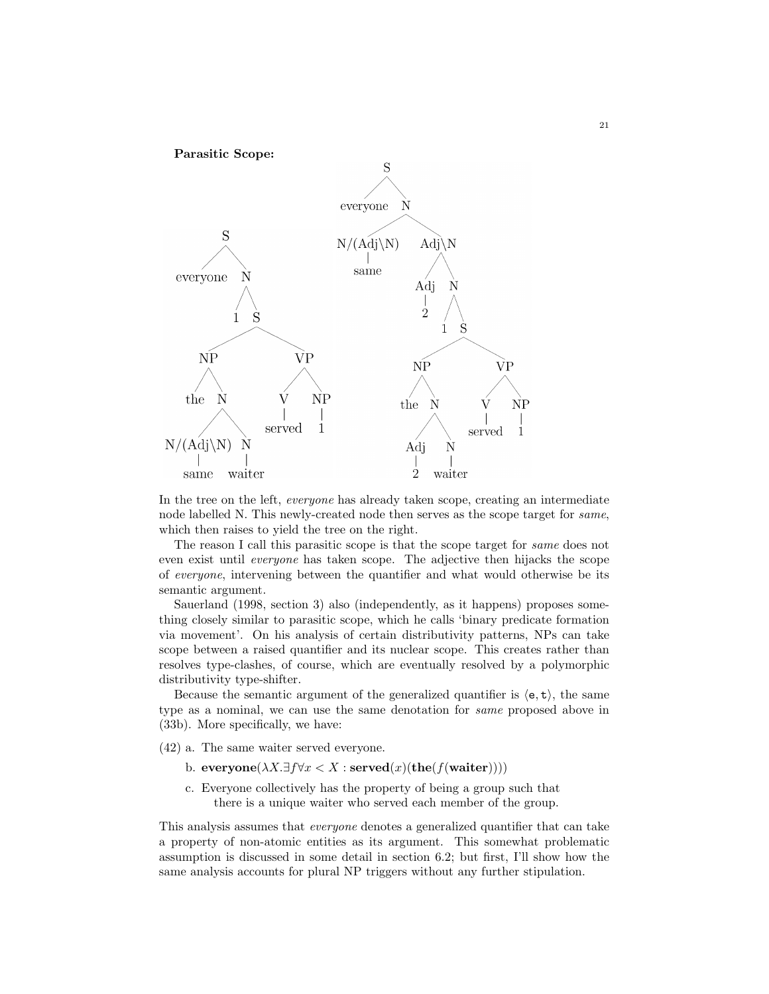

In the tree on the left, everyone has already taken scope, creating an intermediate node labelled N. This newly-created node then serves as the scope target for same, which then raises to yield the tree on the right.

The reason I call this parasitic scope is that the scope target for same does not even exist until everyone has taken scope. The adjective then hijacks the scope of everyone, intervening between the quantifier and what would otherwise be its semantic argument.

Sauerland (1998, section 3) also (independently, as it happens) proposes something closely similar to parasitic scope, which he calls 'binary predicate formation via movement'. On his analysis of certain distributivity patterns, NPs can take scope between a raised quantifier and its nuclear scope. This creates rather than resolves type-clashes, of course, which are eventually resolved by a polymorphic distributivity type-shifter.

Because the semantic argument of the generalized quantifier is  $\langle e, t \rangle$ , the same type as a nominal, we can use the same denotation for same proposed above in (33b). More specifically, we have:

(42) a. The same waiter served everyone.

- b. everyone( $\lambda X.\exists f \forall x \leq X : \text{served}(x)(\text{the}(f(\text{water})))$ )
- c. Everyone collectively has the property of being a group such that there is a unique waiter who served each member of the group.

This analysis assumes that everyone denotes a generalized quantifier that can take a property of non-atomic entities as its argument. This somewhat problematic assumption is discussed in some detail in section 6.2; but first, I'll show how the same analysis accounts for plural NP triggers without any further stipulation.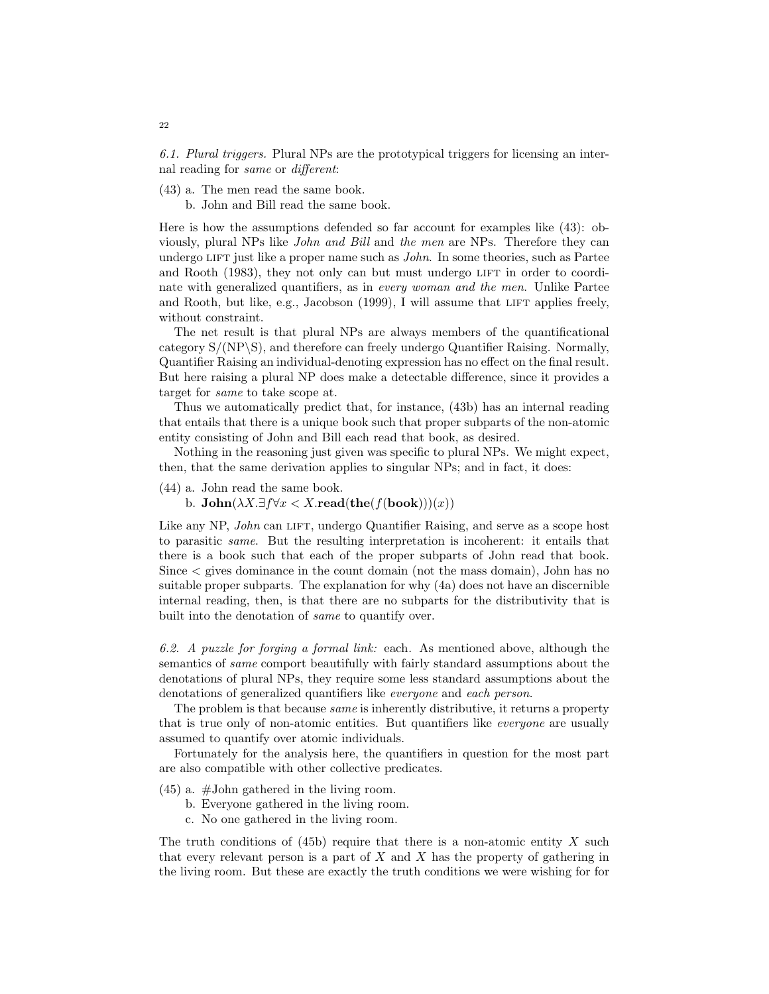6.1. Plural triggers. Plural NPs are the prototypical triggers for licensing an internal reading for same or different:

(43) a. The men read the same book.

b. John and Bill read the same book.

Here is how the assumptions defended so far account for examples like (43): obviously, plural NPs like John and Bill and the men are NPs. Therefore they can undergo LIFT just like a proper name such as  $John$ . In some theories, such as Partee and Rooth (1983), they not only can but must undergo LIFT in order to coordinate with generalized quantifiers, as in every woman and the men. Unlike Partee and Rooth, but like, e.g., Jacobson (1999), I will assume that LIFT applies freely, without constraint.

The net result is that plural NPs are always members of the quantificational category S/(NP\S), and therefore can freely undergo Quantifier Raising. Normally, Quantifier Raising an individual-denoting expression has no effect on the final result. But here raising a plural NP does make a detectable difference, since it provides a target for same to take scope at.

Thus we automatically predict that, for instance, (43b) has an internal reading that entails that there is a unique book such that proper subparts of the non-atomic entity consisting of John and Bill each read that book, as desired.

Nothing in the reasoning just given was specific to plural NPs. We might expect, then, that the same derivation applies to singular NPs; and in fact, it does:

(44) a. John read the same book.

b.  $\text{John}(\lambda X.\exists f \forall x < X.\text{read}(\text{the}(f(\text{book})))(x))$ 

Like any NP, *John* can LIFT, undergo Quantifier Raising, and serve as a scope host to parasitic same. But the resulting interpretation is incoherent: it entails that there is a book such that each of the proper subparts of John read that book. Since < gives dominance in the count domain (not the mass domain), John has no suitable proper subparts. The explanation for why (4a) does not have an discernible internal reading, then, is that there are no subparts for the distributivity that is built into the denotation of same to quantify over.

6.2. A puzzle for forging a formal link: each. As mentioned above, although the semantics of same comport beautifully with fairly standard assumptions about the denotations of plural NPs, they require some less standard assumptions about the denotations of generalized quantifiers like everyone and each person.

The problem is that because *same* is inherently distributive, it returns a property that is true only of non-atomic entities. But quantifiers like everyone are usually assumed to quantify over atomic individuals.

Fortunately for the analysis here, the quantifiers in question for the most part are also compatible with other collective predicates.

- (45) a. #John gathered in the living room.
	- b. Everyone gathered in the living room.
	- c. No one gathered in the living room.

The truth conditions of  $(45b)$  require that there is a non-atomic entity X such that every relevant person is a part of  $X$  and  $X$  has the property of gathering in the living room. But these are exactly the truth conditions we were wishing for for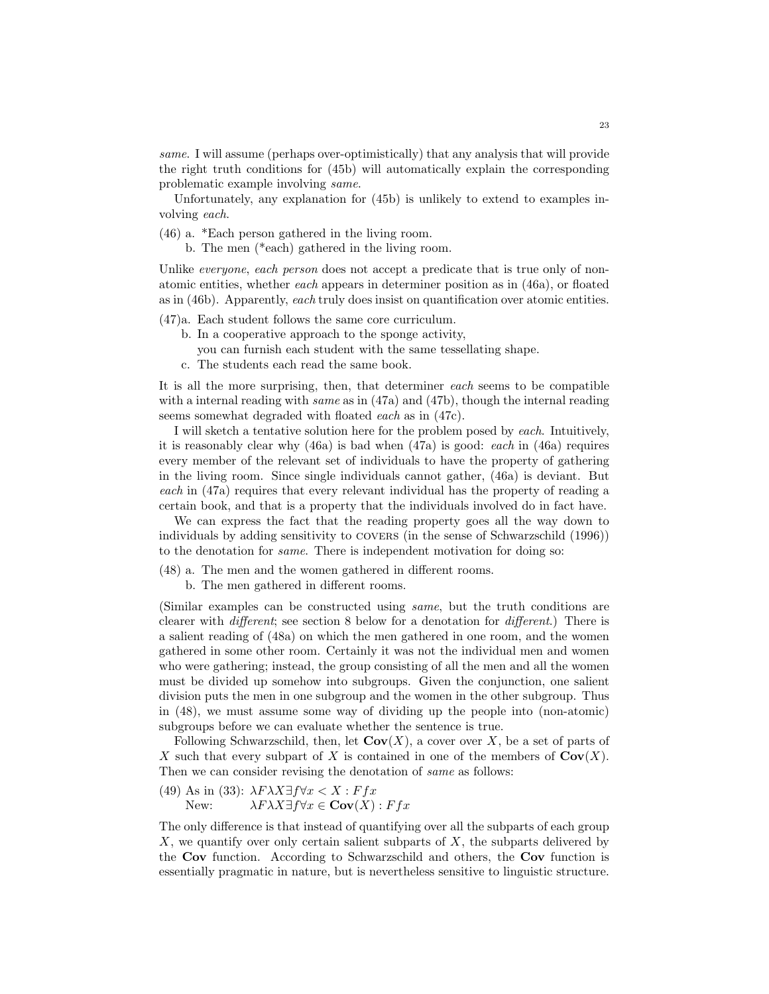same. I will assume (perhaps over-optimistically) that any analysis that will provide the right truth conditions for (45b) will automatically explain the corresponding problematic example involving same.

Unfortunately, any explanation for (45b) is unlikely to extend to examples involving each.

- (46) a. \*Each person gathered in the living room.
	- b. The men (\*each) gathered in the living room.

Unlike *everyone, each person* does not accept a predicate that is true only of nonatomic entities, whether each appears in determiner position as in (46a), or floated as in (46b). Apparently, each truly does insist on quantification over atomic entities.

- (47)a. Each student follows the same core curriculum.
	- b. In a cooperative approach to the sponge activity,
		- you can furnish each student with the same tessellating shape.
	- c. The students each read the same book.

It is all the more surprising, then, that determiner each seems to be compatible with a internal reading with *same* as in (47a) and (47b), though the internal reading seems somewhat degraded with floated each as in (47c).

I will sketch a tentative solution here for the problem posed by each. Intuitively, it is reasonably clear why (46a) is bad when (47a) is good: each in (46a) requires every member of the relevant set of individuals to have the property of gathering in the living room. Since single individuals cannot gather, (46a) is deviant. But each in (47a) requires that every relevant individual has the property of reading a certain book, and that is a property that the individuals involved do in fact have.

We can express the fact that the reading property goes all the way down to individuals by adding sensitivity to covers (in the sense of Schwarzschild (1996)) to the denotation for same. There is independent motivation for doing so:

- (48) a. The men and the women gathered in different rooms.
	- b. The men gathered in different rooms.

(Similar examples can be constructed using same, but the truth conditions are clearer with different; see section 8 below for a denotation for different.) There is a salient reading of (48a) on which the men gathered in one room, and the women gathered in some other room. Certainly it was not the individual men and women who were gathering; instead, the group consisting of all the men and all the women must be divided up somehow into subgroups. Given the conjunction, one salient division puts the men in one subgroup and the women in the other subgroup. Thus in (48), we must assume some way of dividing up the people into (non-atomic) subgroups before we can evaluate whether the sentence is true.

Following Schwarzschild, then, let  $\text{Cov}(X)$ , a cover over X, be a set of parts of X such that every subpart of X is contained in one of the members of  $Cov(X)$ . Then we can consider revising the denotation of *same* as follows:

(49) As in (33):  $\lambda F \lambda X \exists f \forall x \leq X : F f x$ New:  $\lambda F \lambda X \exists f \forall x \in \mathbf{Cov}(X) : Ffx$ 

The only difference is that instead of quantifying over all the subparts of each group  $X$ , we quantify over only certain salient subparts of  $X$ , the subparts delivered by the Cov function. According to Schwarzschild and others, the Cov function is essentially pragmatic in nature, but is nevertheless sensitive to linguistic structure.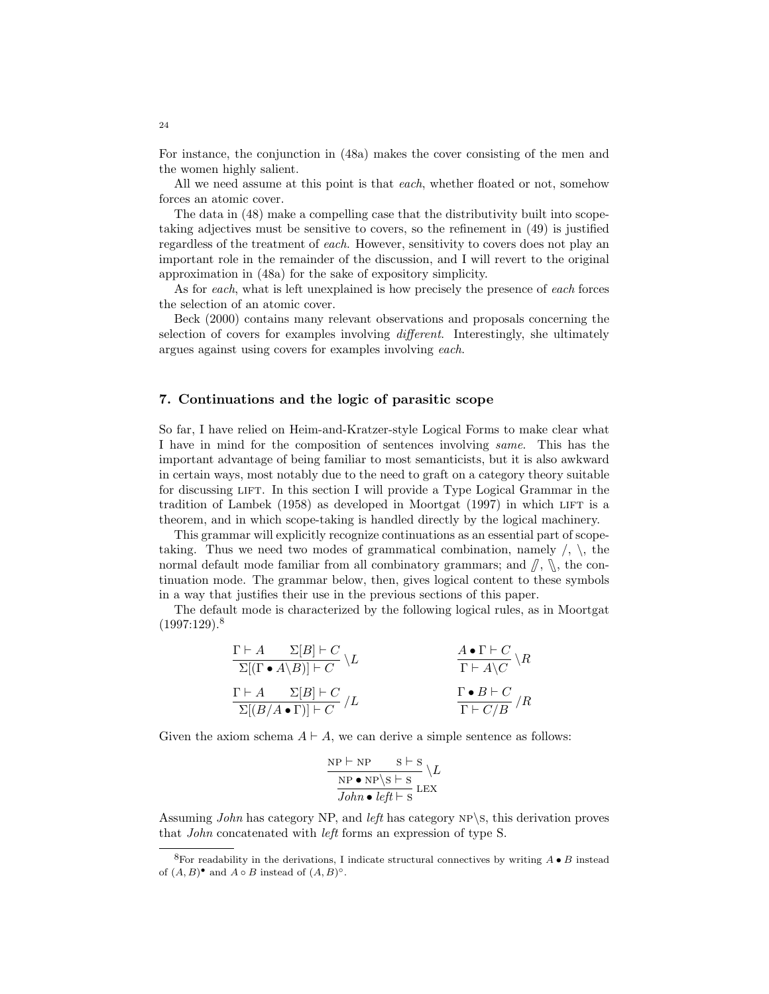For instance, the conjunction in (48a) makes the cover consisting of the men and the women highly salient.

All we need assume at this point is that each, whether floated or not, somehow forces an atomic cover.

The data in (48) make a compelling case that the distributivity built into scopetaking adjectives must be sensitive to covers, so the refinement in (49) is justified regardless of the treatment of each. However, sensitivity to covers does not play an important role in the remainder of the discussion, and I will revert to the original approximation in (48a) for the sake of expository simplicity.

As for each, what is left unexplained is how precisely the presence of each forces the selection of an atomic cover.

Beck (2000) contains many relevant observations and proposals concerning the selection of covers for examples involving different. Interestingly, she ultimately argues against using covers for examples involving each.

#### 7. Continuations and the logic of parasitic scope

So far, I have relied on Heim-and-Kratzer-style Logical Forms to make clear what I have in mind for the composition of sentences involving same. This has the important advantage of being familiar to most semanticists, but it is also awkward in certain ways, most notably due to the need to graft on a category theory suitable for discussing LIFT. In this section I will provide a Type Logical Grammar in the tradition of Lambek (1958) as developed in Moortgat (1997) in which lift is a theorem, and in which scope-taking is handled directly by the logical machinery.

This grammar will explicitly recognize continuations as an essential part of scopetaking. Thus we need two modes of grammatical combination, namely  $\langle , \rangle$ , the normal default mode familiar from all combinatory grammars; and  $\beta$ ,  $\mathcal{N}$ , the continuation mode. The grammar below, then, gives logical content to these symbols in a way that justifies their use in the previous sections of this paper.

The default mode is characterized by the following logical rules, as in Moortgat  $(1997:129).$ <sup>8</sup>

$$
\frac{\Gamma \vdash A \qquad \Sigma[B] \vdash C}{\Sigma[(\Gamma \bullet A \setminus B)] \vdash C} \setminus L \qquad \qquad \frac{A \bullet \Gamma \vdash C}{\Gamma \vdash A \setminus C} \setminus R
$$
\n
$$
\frac{\Gamma \vdash A \qquad \Sigma[B] \vdash C}{\Sigma[(B/A \bullet \Gamma)] \vdash C} / L \qquad \qquad \frac{\Gamma \bullet B \vdash C}{\Gamma \vdash C/B} / R
$$

Given the axiom schema  $A \vdash A$ , we can derive a simple sentence as follows:

$$
\frac{\text{NP} \vdash \text{NP} \qquad \text{S} \vdash \text{S}}{\text{NP} \bullet \text{NP} \backslash \text{S} \vdash \text{S}} \backslash L
$$
  
John \bullet left \vdash \text{S} \text{LEX}

Assuming John has category NP, and left has category NP $\setminus$ s, this derivation proves that John concatenated with left forms an expression of type S.

24

<sup>&</sup>lt;sup>8</sup>For readability in the derivations, I indicate structural connectives by writing  $A \bullet B$  instead of  $(A, B)$ <sup>•</sup> and  $A \circ B$  instead of  $(A, B)$ <sup>o</sup>.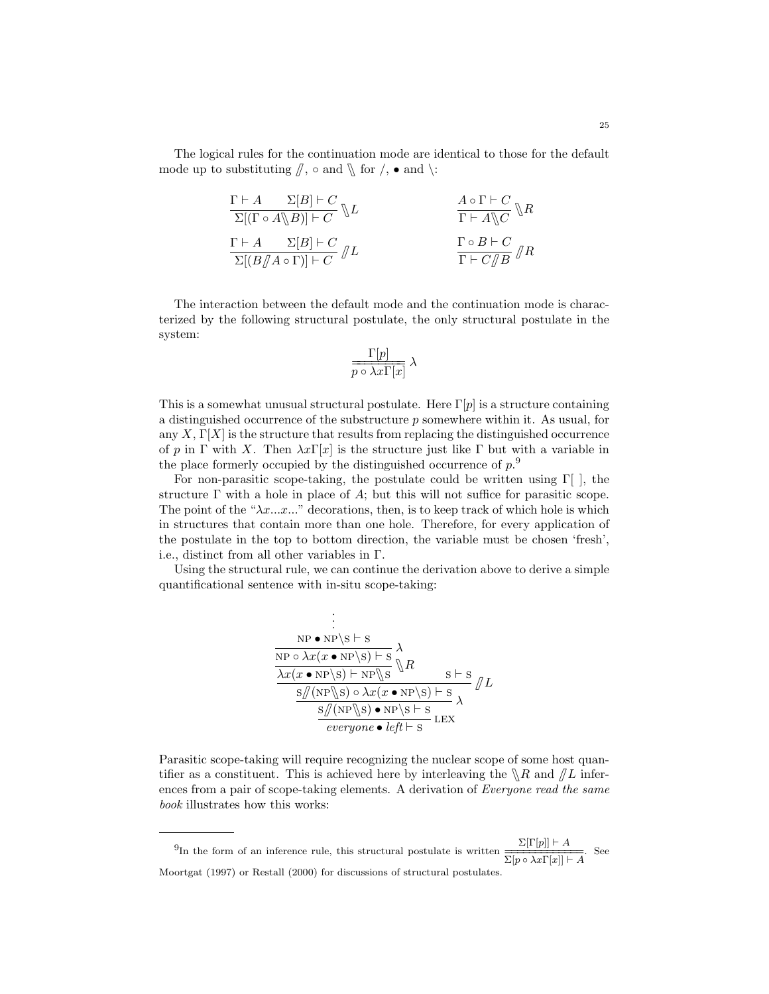The logical rules for the continuation mode are identical to those for the default mode up to substituting  $\llbracket$ ,  $\circ$  and  $\llbracket$  for  $/$ ,  $\bullet$  and  $\llbracket$ :

$$
\frac{\Gamma \vdash A \qquad \Sigma[B] \vdash C}{\Sigma[(\Gamma \circ A \setminus B)] \vdash C} \setminus L \qquad \qquad \frac{A \circ \Gamma \vdash C}{\Gamma \vdash A \setminus C} \setminus R
$$
\n
$$
\frac{\Gamma \vdash A \qquad \Sigma[B] \vdash C}{\Sigma[(B/\!\!/ A \circ \Gamma)] \vdash C} \mathcal{J}L \qquad \qquad \frac{\Gamma \circ B \vdash C}{\Gamma \vdash C/\!\!/ B} \mathcal{J}R
$$

The interaction between the default mode and the continuation mode is characterized by the following structural postulate, the only structural postulate in the system:

$$
\frac{\Gamma[p]}{p \circ \lambda x \Gamma[x]} \lambda
$$

This is a somewhat unusual structural postulate. Here  $\Gamma[p]$  is a structure containing a distinguished occurrence of the substructure  $p$  somewhere within it. As usual, for any  $X, \Gamma[X]$  is the structure that results from replacing the distinguished occurrence of p in Γ with X. Then  $\lambda x\Gamma[x]$  is the structure just like Γ but with a variable in the place formerly occupied by the distinguished occurrence of  $p^9$ .

For non-parasitic scope-taking, the postulate could be written using  $\Gamma$ , the structure  $\Gamma$  with a hole in place of  $A$ ; but this will not suffice for parasitic scope. The point of the " $\lambda x...x...$ " decorations, then, is to keep track of which hole is which in structures that contain more than one hole. Therefore, for every application of the postulate in the top to bottom direction, the variable must be chosen 'fresh', i.e., distinct from all other variables in Γ.

Using the structural rule, we can continue the derivation above to derive a simple quantificational sentence with in-situ scope-taking:

$$
\begin{array}{l}\n\vdots \\
\hline\n\text{NP} \cdot \text{NP} \setminus \text{S} \vdash \text{s} \\
\hline\n\text{NP} \circ \lambda x (x \cdot \text{NP} \setminus \text{s}) \vdash \text{s} \\
\hline\n\lambda x (x \cdot \text{NP} \setminus \text{s}) \vdash \text{NP} \setminus \text{s} \\
\hline\n\text{S}/(\text{NP} \setminus \text{S}) \circ \lambda x (x \cdot \text{NP} \setminus \text{s}) \vdash \text{s} \\
\hline\n\text{S}/(\text{NP} \setminus \text{S}) \circ \text{NP} \setminus \text{s} \vdash \text{s} \\
\hline\n\text{everyone} \bullet \text{left} \vdash \text{s} \\
\hline\n\end{array}\n\quad \mathcal{I}L
$$

Parasitic scope-taking will require recognizing the nuclear scope of some host quantifier as a constituent. This is achieved here by interleaving the  $\setminus R$  and  $/L$  inferences from a pair of scope-taking elements. A derivation of Everyone read the same book illustrates how this works:

<sup>&</sup>lt;sup>9</sup>In the form of an inference rule, this structural postulate is written  $\frac{\Sigma[\Gamma[p]] \vdash A}{\Sigma[p \circ \lambda x \Gamma[x]] \vdash A}$ . See Moortgat (1997) or Restall (2000) for discussions of structural postulates.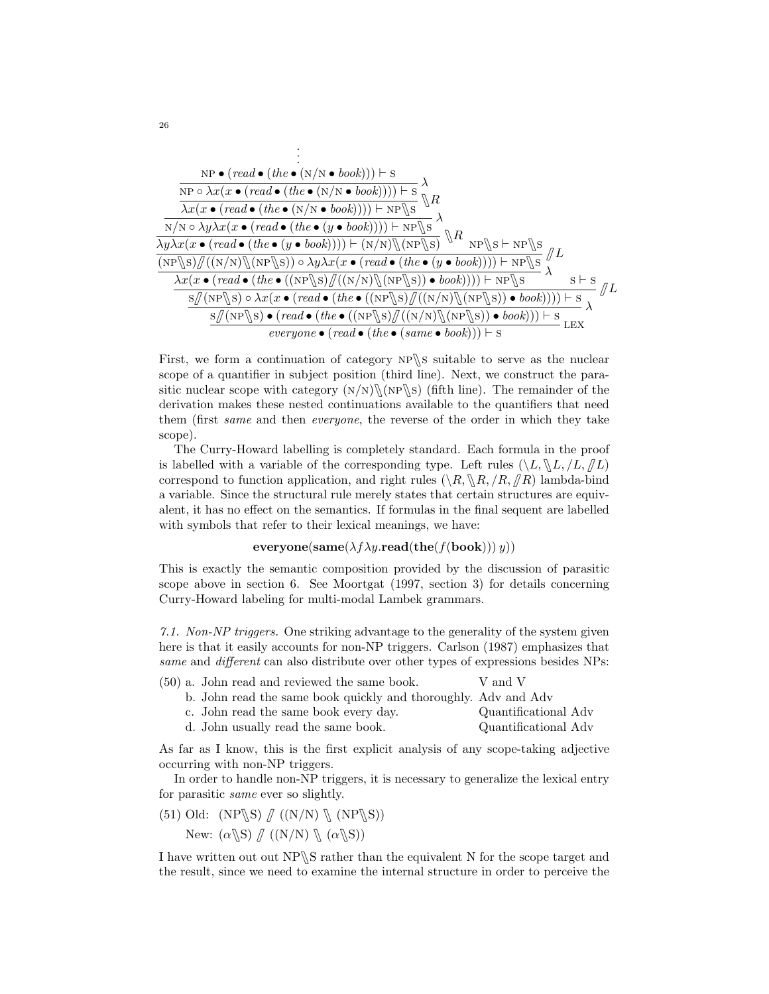

First, we form a continuation of category  $NP \$ s suitable to serve as the nuclear scope of a quantifier in subject position (third line). Next, we construct the parasitic nuclear scope with category  $(N/N)\N(NP\$ S) (fifth line). The remainder of the derivation makes these nested continuations available to the quantifiers that need them (first same and then everyone, the reverse of the order in which they take scope).

The Curry-Howard labelling is completely standard. Each formula in the proof is labelled with a variable of the corresponding type. Left rules  $(\n\setminus L, \mathcal{L}, L, \mathcal{L})$ correspond to function application, and right rules  $(\langle R, \mathbb{R}, R, R, R \rangle)$  lambda-bind a variable. Since the structural rule merely states that certain structures are equivalent, it has no effect on the semantics. If formulas in the final sequent are labelled with symbols that refer to their lexical meanings, we have:

### $\mathbf{everyone}(\mathbf{same}(\lambda f \lambda y \cdot \mathbf{read}(\mathbf{the}(f(\mathbf{book}))) y))$

This is exactly the semantic composition provided by the discussion of parasitic scope above in section 6. See Moortgat (1997, section 3) for details concerning Curry-Howard labeling for multi-modal Lambek grammars.

7.1. Non-NP triggers. One striking advantage to the generality of the system given here is that it easily accounts for non-NP triggers. Carlson (1987) emphasizes that same and *different* can also distribute over other types of expressions besides NPs:

|  |  | (50) a. John read and reviewed the same book.                  | V and V              |
|--|--|----------------------------------------------------------------|----------------------|
|  |  | b. John read the same book quickly and thoroughly. Adv and Adv |                      |
|  |  | c. John read the same book every day.                          | Quantificational Adv |
|  |  | d. John usually read the same book.                            | Quantificational Adv |
|  |  |                                                                |                      |

As far as I know, this is the first explicit analysis of any scope-taking adjective occurring with non-NP triggers.

In order to handle non-NP triggers, it is necessary to generalize the lexical entry for parasitic same ever so slightly.

- (51) Old:  $(NP\ S)/((N/N)\ N(NP\ S))$ 
	- New:  $(\alpha \setminus S)$   $\# ((N/N) \setminus (\alpha \setminus S))$

I have written out out  $NP\$  rather than the equivalent N for the scope target and the result, since we need to examine the internal structure in order to perceive the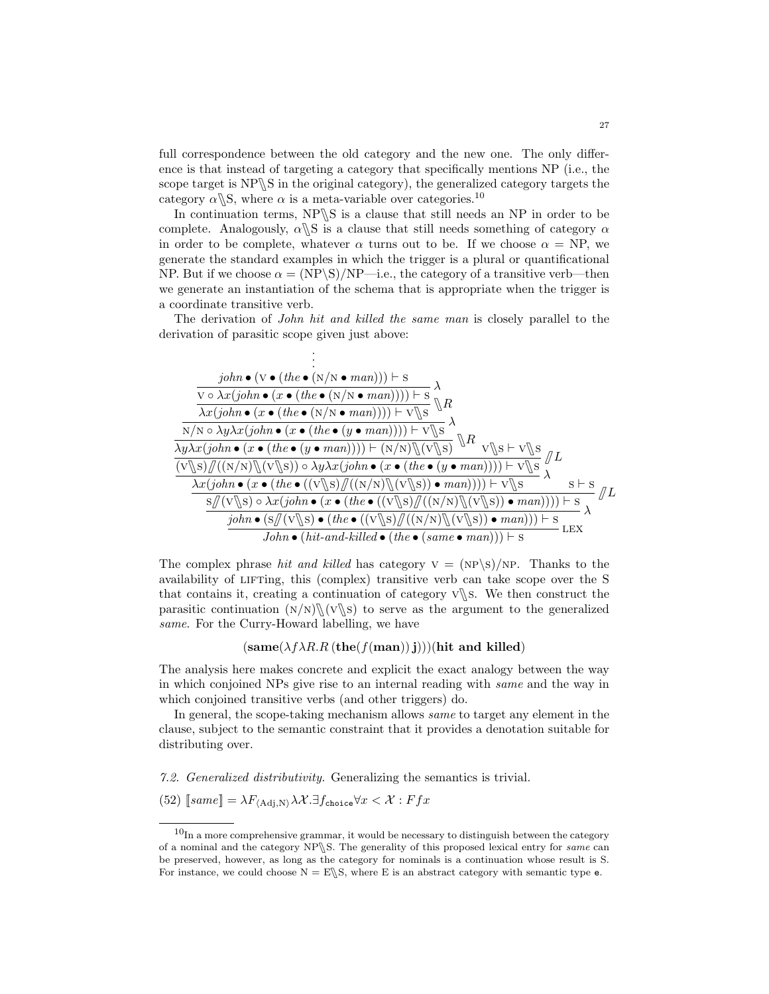full correspondence between the old category and the new one. The only difference is that instead of targeting a category that specifically mentions NP (i.e., the scope target is  $NP \ S$  in the original category), the generalized category targets the category  $\alpha$ <sub>S</sub>, where  $\alpha$  is a meta-variable over categories.<sup>10</sup>

In continuation terms,  $NP \$  is a clause that still needs an NP in order to be complete. Analogously,  $\alpha \$ S is a clause that still needs something of category  $\alpha$ in order to be complete, whatever  $\alpha$  turns out to be. If we choose  $\alpha = NP$ , we generate the standard examples in which the trigger is a plural or quantificational NP. But if we choose  $\alpha = (NP \S)/NP$ —i.e., the category of a transitive verb—then we generate an instantiation of the schema that is appropriate when the trigger is a coordinate transitive verb.

The derivation of *John hit and killed the same man* is closely parallel to the derivation of parasitic scope given just above:



The complex phrase hit and killed has category  $V = (NP\S)/NP$ . Thanks to the availability of LIFTing, this (complex) transitive verb can take scope over the S that contains it, creating a continuation of category  $\sqrt{\ }$ . We then construct the parasitic continuation  $(N/N)\N(V\$ s to serve as the argument to the generalized same. For the Curry-Howard labelling, we have

 $(same(\lambda f \lambda R.R (the (f (man)) i)))(hit and killed))$ 

The analysis here makes concrete and explicit the exact analogy between the way in which conjoined NPs give rise to an internal reading with same and the way in which conjoined transitive verbs (and other triggers) do.

In general, the scope-taking mechanism allows *same* to target any element in the clause, subject to the semantic constraint that it provides a denotation suitable for distributing over.

7.2. Generalized distributivity. Generalizing the semantics is trivial.

(52)  $[\![same]\!] = \lambda F_{\langle \text{Adj}, \text{N} \rangle} \lambda \mathcal{X} . \exists f_{\text{choice}} \forall x < \mathcal{X} : Ffx$ 

 $10$ In a more comprehensive grammar, it would be necessary to distinguish between the category of a nominal and the category NP S. The generality of this proposed lexical entry for same can be preserved, however, as long as the category for nominals is a continuation whose result is S. For instance, we could choose  $N = E \setminus S$ , where E is an abstract category with semantic type e.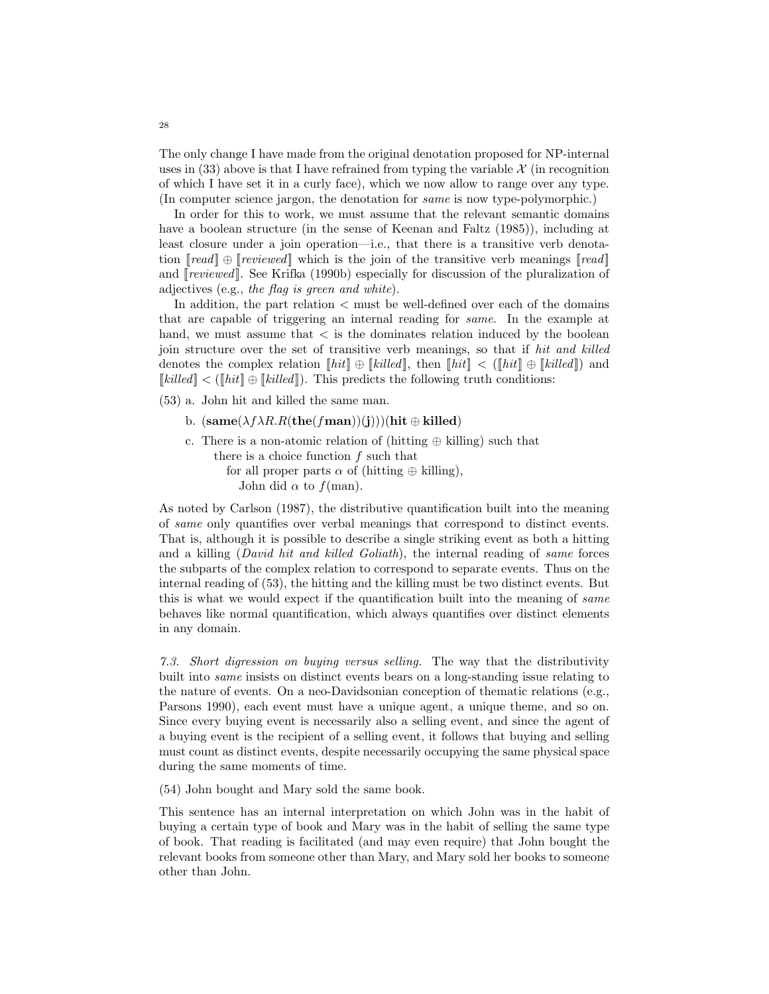The only change I have made from the original denotation proposed for NP-internal uses in  $(33)$  above is that I have refrained from typing the variable  $\mathcal X$  (in recognition of which I have set it in a curly face), which we now allow to range over any type. (In computer science jargon, the denotation for same is now type-polymorphic.)

In order for this to work, we must assume that the relevant semantic domains have a boolean structure (in the sense of Keenan and Faltz (1985)), including at least closure under a join operation—i.e., that there is a transitive verb denotation  $\lceil \text{real} \rceil \oplus \lceil \text{reviewed} \rceil$  which is the join of the transitive verb meanings  $\lceil \text{real} \rceil$ and [ $revieved$ ]. See Krifka (1990b) especially for discussion of the pluralization of adjectives (e.g., the flag is green and white).

In addition, the part relation < must be well-defined over each of the domains that are capable of triggering an internal reading for same. In the example at hand, we must assume that  $\lt$  is the dominates relation induced by the boolean join structure over the set of transitive verb meanings, so that if hit and killed denotes the complex relation  $\llbracket hit \rrbracket \oplus \llbracket killed \rrbracket$ , then  $\llbracket hit \rrbracket < (\llbracket hit \rrbracket \oplus \llbracket killed \rrbracket)$  and  $\llbracket$ *killed* $\rrbracket$  < ( $\llbracket hit \rrbracket \oplus \llbracket$ *killed* $\rrbracket$ ). This predicts the following truth conditions:

(53) a. John hit and killed the same man.

- b.  $(same(\lambda f \lambda R.R(the(fman))(j)))(hit \oplus killed)$
- c. There is a non-atomic relation of (hitting  $oplus$  killing) such that there is a choice function  $f$  such that for all proper parts  $\alpha$  of (hitting  $\oplus$  killing), John did  $\alpha$  to  $f(\text{man})$ .

As noted by Carlson (1987), the distributive quantification built into the meaning of same only quantifies over verbal meanings that correspond to distinct events. That is, although it is possible to describe a single striking event as both a hitting and a killing (David hit and killed Goliath), the internal reading of same forces the subparts of the complex relation to correspond to separate events. Thus on the internal reading of (53), the hitting and the killing must be two distinct events. But this is what we would expect if the quantification built into the meaning of same behaves like normal quantification, which always quantifies over distinct elements in any domain.

7.3. Short digression on buying versus selling. The way that the distributivity built into same insists on distinct events bears on a long-standing issue relating to the nature of events. On a neo-Davidsonian conception of thematic relations (e.g., Parsons 1990), each event must have a unique agent, a unique theme, and so on. Since every buying event is necessarily also a selling event, and since the agent of a buying event is the recipient of a selling event, it follows that buying and selling must count as distinct events, despite necessarily occupying the same physical space during the same moments of time.

(54) John bought and Mary sold the same book.

This sentence has an internal interpretation on which John was in the habit of buying a certain type of book and Mary was in the habit of selling the same type of book. That reading is facilitated (and may even require) that John bought the relevant books from someone other than Mary, and Mary sold her books to someone other than John.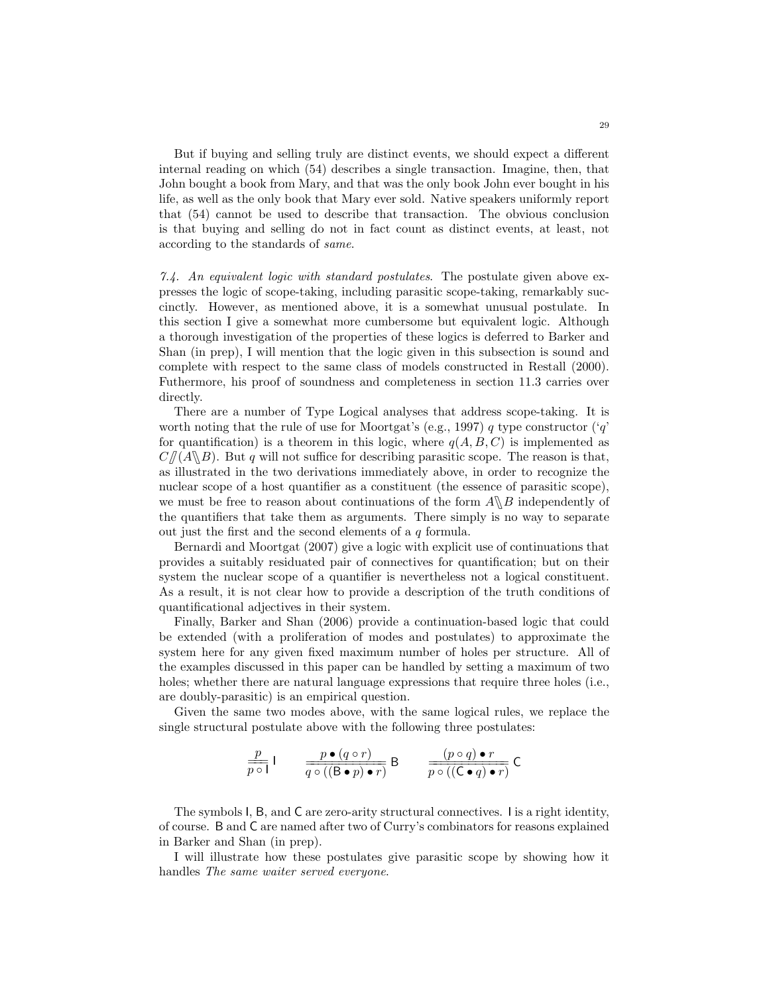But if buying and selling truly are distinct events, we should expect a different internal reading on which (54) describes a single transaction. Imagine, then, that John bought a book from Mary, and that was the only book John ever bought in his life, as well as the only book that Mary ever sold. Native speakers uniformly report that (54) cannot be used to describe that transaction. The obvious conclusion is that buying and selling do not in fact count as distinct events, at least, not according to the standards of same.

7.4. An equivalent logic with standard postulates. The postulate given above expresses the logic of scope-taking, including parasitic scope-taking, remarkably succinctly. However, as mentioned above, it is a somewhat unusual postulate. In this section I give a somewhat more cumbersome but equivalent logic. Although a thorough investigation of the properties of these logics is deferred to Barker and Shan (in prep), I will mention that the logic given in this subsection is sound and complete with respect to the same class of models constructed in Restall (2000). Futhermore, his proof of soundness and completeness in section 11.3 carries over directly.

There are a number of Type Logical analyses that address scope-taking. It is worth noting that the rule of use for Moortgat's (e.g., 1997) q type constructor ('q' for quantification) is a theorem in this logic, where  $q(A, B, C)$  is implemented as  $C/(A\Bbb B)$ . But q will not suffice for describing parasitic scope. The reason is that, as illustrated in the two derivations immediately above, in order to recognize the nuclear scope of a host quantifier as a constituent (the essence of parasitic scope), we must be free to reason about continuations of the form  $A\Bbb\setminus B$  independently of the quantifiers that take them as arguments. There simply is no way to separate out just the first and the second elements of a  $q$  formula.

Bernardi and Moortgat (2007) give a logic with explicit use of continuations that provides a suitably residuated pair of connectives for quantification; but on their system the nuclear scope of a quantifier is nevertheless not a logical constituent. As a result, it is not clear how to provide a description of the truth conditions of quantificational adjectives in their system.

Finally, Barker and Shan (2006) provide a continuation-based logic that could be extended (with a proliferation of modes and postulates) to approximate the system here for any given fixed maximum number of holes per structure. All of the examples discussed in this paper can be handled by setting a maximum of two holes; whether there are natural language expressions that require three holes (i.e., are doubly-parasitic) is an empirical question.

Given the same two modes above, with the same logical rules, we replace the single structural postulate above with the following three postulates:

$$
\frac{p}{p \circ 1} \mathbf{1} \qquad \frac{p \bullet (q \circ r)}{q \circ ((\mathbf{B} \bullet p) \bullet r)} \mathbf{B} \qquad \frac{(p \circ q) \bullet r}{p \circ ((\mathbf{C} \bullet q) \bullet r)} \mathbf{C}
$$

The symbols I, B, and C are zero-arity structural connectives. I is a right identity, of course. B and C are named after two of Curry's combinators for reasons explained in Barker and Shan (in prep).

I will illustrate how these postulates give parasitic scope by showing how it handles The same waiter served everyone.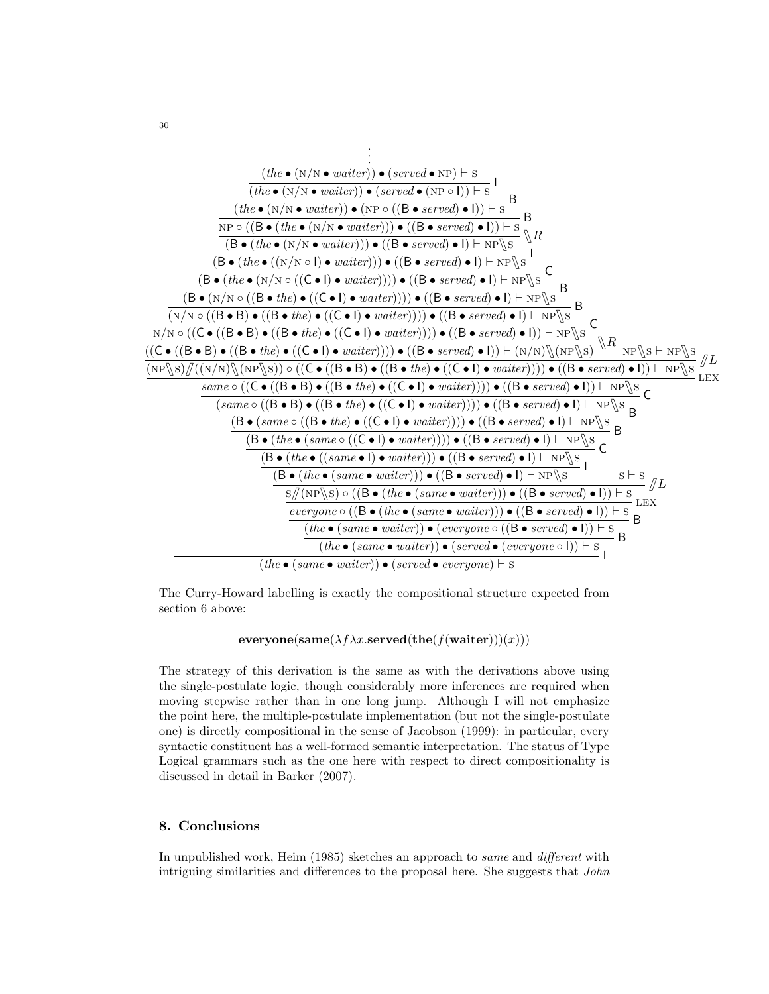

The Curry-Howard labelling is exactly the compositional structure expected from section 6 above:

 ${\bf everyone}({\bf same}(\lambda f\lambda x.{\bf served}({\bf the}(f({\bf waiter}))) (x)))$ 

The strategy of this derivation is the same as with the derivations above using the single-postulate logic, though considerably more inferences are required when moving stepwise rather than in one long jump. Although I will not emphasize the point here, the multiple-postulate implementation (but not the single-postulate one) is directly compositional in the sense of Jacobson (1999): in particular, every syntactic constituent has a well-formed semantic interpretation. The status of Type Logical grammars such as the one here with respect to direct compositionality is discussed in detail in Barker (2007).

# 8. Conclusions

In unpublished work, Heim (1985) sketches an approach to same and different with intriguing similarities and differences to the proposal here. She suggests that John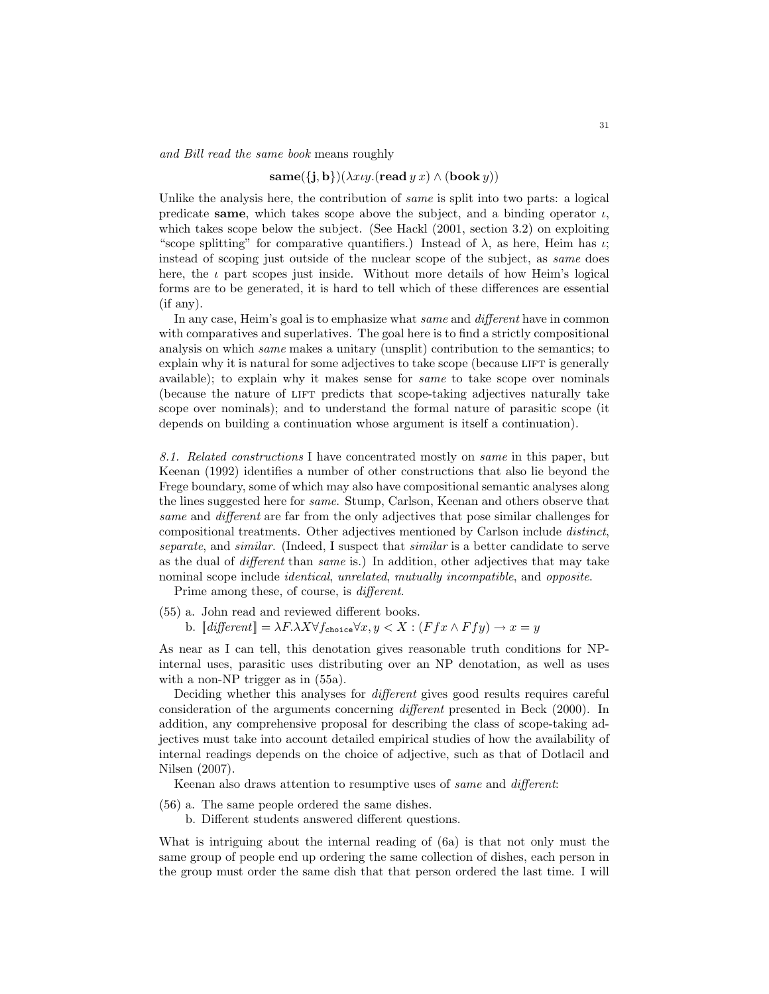and Bill read the same book means roughly

#### $\operatorname{same}(\{\mathbf{j},\mathbf{b}\})(\lambda x \iota y.(\operatorname{read} y\, x) \wedge (\operatorname{book} y))$

Unlike the analysis here, the contribution of same is split into two parts: a logical predicate same, which takes scope above the subject, and a binding operator  $\iota$ , which takes scope below the subject. (See Hackl  $(2001, \text{ section } 3.2)$  on exploiting "scope splitting" for comparative quantifiers.) Instead of  $\lambda$ , as here, Heim has  $\iota$ ; instead of scoping just outside of the nuclear scope of the subject, as same does here, the  $\iota$  part scopes just inside. Without more details of how Heim's logical forms are to be generated, it is hard to tell which of these differences are essential (if any).

In any case, Heim's goal is to emphasize what same and different have in common with comparatives and superlatives. The goal here is to find a strictly compositional analysis on which same makes a unitary (unsplit) contribution to the semantics; to explain why it is natural for some adjectives to take scope (because LIFT is generally available); to explain why it makes sense for same to take scope over nominals (because the nature of LIFT predicts that scope-taking adjectives naturally take scope over nominals); and to understand the formal nature of parasitic scope (it depends on building a continuation whose argument is itself a continuation).

8.1. Related constructions I have concentrated mostly on same in this paper, but Keenan (1992) identifies a number of other constructions that also lie beyond the Frege boundary, some of which may also have compositional semantic analyses along the lines suggested here for same. Stump, Carlson, Keenan and others observe that same and different are far from the only adjectives that pose similar challenges for compositional treatments. Other adjectives mentioned by Carlson include distinct, separate, and similar. (Indeed, I suspect that similar is a better candidate to serve as the dual of different than same is.) In addition, other adjectives that may take nominal scope include *identical*, unrelated, mutually incompatible, and *opposite*.

Prime among these, of course, is *different*.

(55) a. John read and reviewed different books. b.  $\llbracket \text{different} \rrbracket = \lambda F. \lambda X \forall f_{\text{choice}} \forall x, y < X : (F f x \wedge F f y) \rightarrow x = y$ 

As near as I can tell, this denotation gives reasonable truth conditions for NPinternal uses, parasitic uses distributing over an NP denotation, as well as uses with a non-NP trigger as in  $(55a)$ .

Deciding whether this analyses for different gives good results requires careful consideration of the arguments concerning different presented in Beck (2000). In addition, any comprehensive proposal for describing the class of scope-taking adjectives must take into account detailed empirical studies of how the availability of internal readings depends on the choice of adjective, such as that of Dotlacil and Nilsen (2007).

Keenan also draws attention to resumptive uses of same and different:

- (56) a. The same people ordered the same dishes.
	- b. Different students answered different questions.

What is intriguing about the internal reading of (6a) is that not only must the same group of people end up ordering the same collection of dishes, each person in the group must order the same dish that that person ordered the last time. I will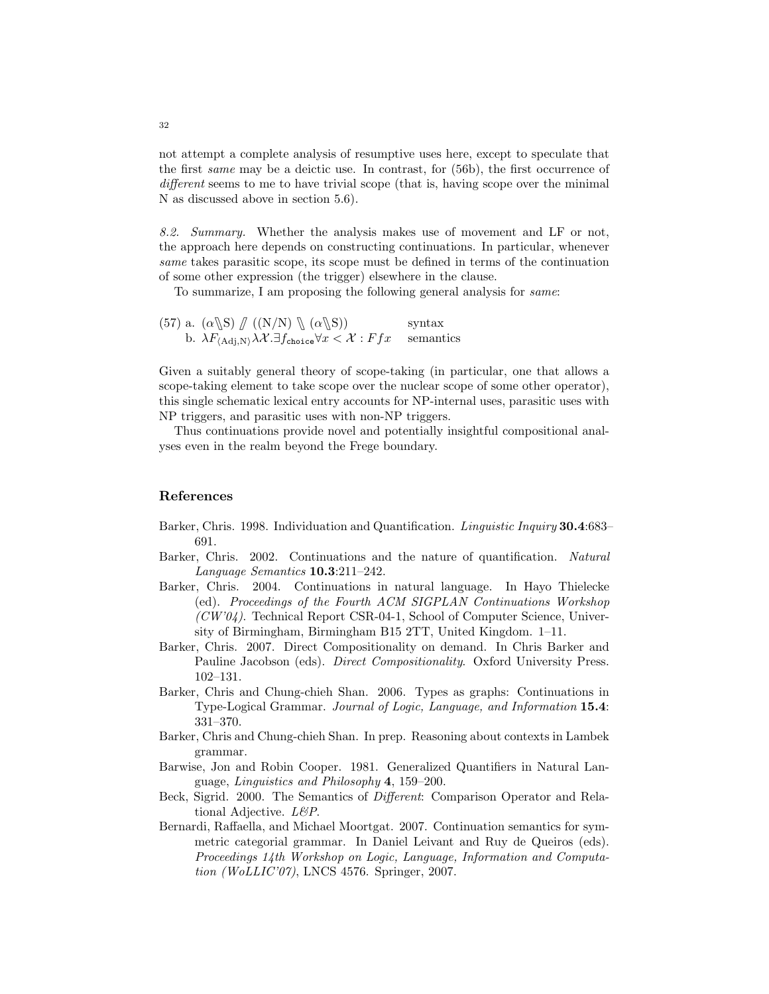not attempt a complete analysis of resumptive uses here, except to speculate that the first same may be a deictic use. In contrast, for (56b), the first occurrence of different seems to me to have trivial scope (that is, having scope over the minimal N as discussed above in section 5.6).

8.2. Summary. Whether the analysis makes use of movement and LF or not, the approach here depends on constructing continuations. In particular, whenever same takes parasitic scope, its scope must be defined in terms of the continuation of some other expression (the trigger) elsewhere in the clause.

To summarize, I am proposing the following general analysis for same:

(57) a. 
$$
(\alpha \setminus S) \mathcal{J}((N/N) \setminus (\alpha \setminus S))
$$
 syntax  
b.  $\lambda F_{(Adj,N)} \lambda \lambda \lambda \cdot \exists f_{choice} \forall x < \lambda : Ffx$  semantics

Given a suitably general theory of scope-taking (in particular, one that allows a scope-taking element to take scope over the nuclear scope of some other operator), this single schematic lexical entry accounts for NP-internal uses, parasitic uses with NP triggers, and parasitic uses with non-NP triggers.

Thus continuations provide novel and potentially insightful compositional analyses even in the realm beyond the Frege boundary.

### References

- Barker, Chris. 1998. Individuation and Quantification. *Linguistic Inquiry* **30.4**:683– 691.
- Barker, Chris. 2002. Continuations and the nature of quantification. Natural Language Semantics 10.3:211–242.
- Barker, Chris. 2004. Continuations in natural language. In Hayo Thielecke (ed). Proceedings of the Fourth ACM SIGPLAN Continuations Workshop  $(CW'04)$ . Technical Report CSR-04-1, School of Computer Science, University of Birmingham, Birmingham B15 2TT, United Kingdom. 1–11.
- Barker, Chris. 2007. Direct Compositionality on demand. In Chris Barker and Pauline Jacobson (eds). *Direct Compositionality*. Oxford University Press. 102–131.
- Barker, Chris and Chung-chieh Shan. 2006. Types as graphs: Continuations in Type-Logical Grammar. Journal of Logic, Language, and Information 15.4: 331–370.
- Barker, Chris and Chung-chieh Shan. In prep. Reasoning about contexts in Lambek grammar.
- Barwise, Jon and Robin Cooper. 1981. Generalized Quantifiers in Natural Language, Linguistics and Philosophy 4, 159–200.
- Beck, Sigrid. 2000. The Semantics of Different: Comparison Operator and Relational Adjective. L&P.
- Bernardi, Raffaella, and Michael Moortgat. 2007. Continuation semantics for symmetric categorial grammar. In Daniel Leivant and Ruy de Queiros (eds). Proceedings 14th Workshop on Logic, Language, Information and Computation (WoLLIC'07), LNCS 4576. Springer, 2007.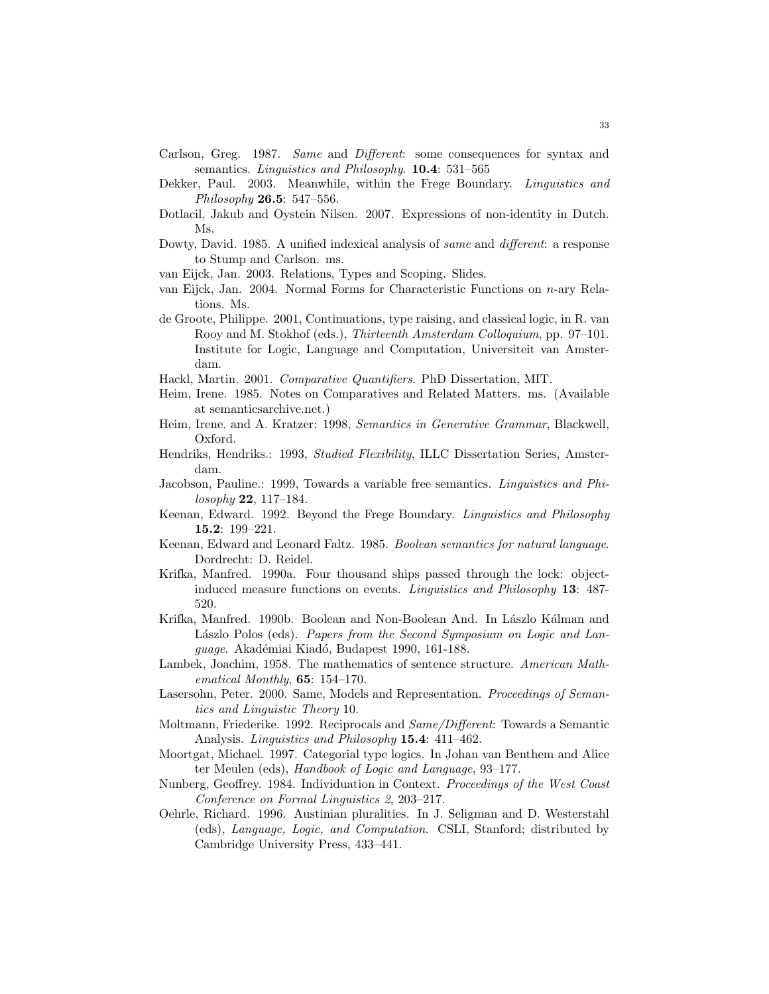- Carlson, Greg. 1987. Same and Different: some consequences for syntax and semantics. *Linguistics and Philosophy*. **10.4**: 531–565
- Dekker, Paul. 2003. Meanwhile, within the Frege Boundary. Linguistics and Philosophy 26.5: 547–556.
- Dotlacil, Jakub and Oystein Nilsen. 2007. Expressions of non-identity in Dutch. Ms.
- Dowty, David. 1985. A unified indexical analysis of *same* and *different*: a response to Stump and Carlson. ms.
- van Eijck, Jan. 2003. Relations, Types and Scoping. Slides.
- van Eijck, Jan. 2004. Normal Forms for Characteristic Functions on n-ary Relations. Ms.
- de Groote, Philippe. 2001, Continuations, type raising, and classical logic, in R. van Rooy and M. Stokhof (eds.), Thirteenth Amsterdam Colloquium, pp. 97–101. Institute for Logic, Language and Computation, Universiteit van Amsterdam.
- Hackl, Martin. 2001. Comparative Quantifiers. PhD Dissertation, MIT.
- Heim, Irene. 1985. Notes on Comparatives and Related Matters. ms. (Available at semanticsarchive.net.)
- Heim, Irene. and A. Kratzer: 1998, Semantics in Generative Grammar, Blackwell, Oxford.
- Hendriks, Hendriks.: 1993, Studied Flexibility, ILLC Dissertation Series, Amsterdam.
- Jacobson, Pauline.: 1999, Towards a variable free semantics. Linguistics and Philosophy 22, 117–184.
- Keenan, Edward. 1992. Beyond the Frege Boundary. Linguistics and Philosophy 15.2: 199–221.
- Keenan, Edward and Leonard Faltz. 1985. Boolean semantics for natural language. Dordrecht: D. Reidel.
- Krifka, Manfred. 1990a. Four thousand ships passed through the lock: objectinduced measure functions on events. Linguistics and Philosophy 13: 487- 520.
- Krifka, Manfred. 1990b. Boolean and Non-Boolean And. In Lászlo Kálman and Lászlo Polos (eds). Papers from the Second Symposium on Logic and Language. Akadémiai Kiadó, Budapest 1990, 161-188.
- Lambek, Joachim, 1958. The mathematics of sentence structure. American Mathematical Monthly, 65: 154–170.
- Lasersohn, Peter. 2000. Same, Models and Representation. Proceedings of Semantics and Linguistic Theory 10.
- Moltmann, Friederike. 1992. Reciprocals and Same/Different: Towards a Semantic Analysis. Linguistics and Philosophy 15.4: 411-462.
- Moortgat, Michael. 1997. Categorial type logics. In Johan van Benthem and Alice ter Meulen (eds), Handbook of Logic and Language, 93–177.
- Nunberg, Geoffrey. 1984. Individuation in Context. Proceedings of the West Coast Conference on Formal Linguistics 2, 203–217.
- Oehrle, Richard. 1996. Austinian pluralities. In J. Seligman and D. Westerstahl (eds), Language, Logic, and Computation. CSLI, Stanford; distributed by Cambridge University Press, 433–441.